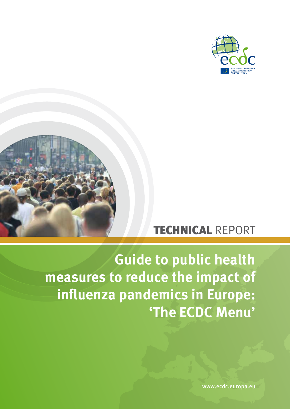



# TECHNICAL REPORT

# **Guide to public health measures to reduce the impact of influenza pandemics in Europe: 'The ECDC Menu'**

www.ecdc.europa.eu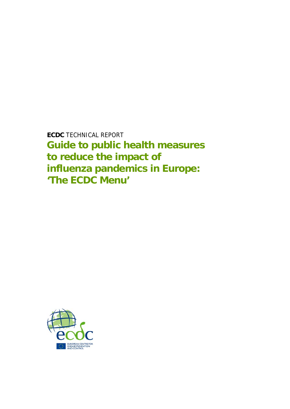**ECDC** TECHNICAL REPORT **Guide to public health measures to reduce the impact of influenza pandemics in Europe: 'The ECDC Menu'** 

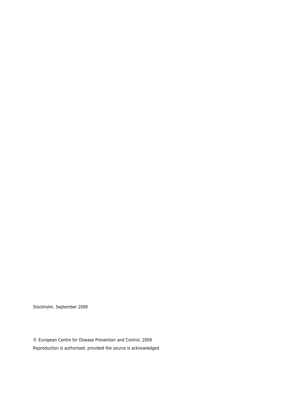Stockholm, September 2009

© European Centre for Disease Prevention and Control, 2009 Reproduction is authorised, provided the source is acknowledged.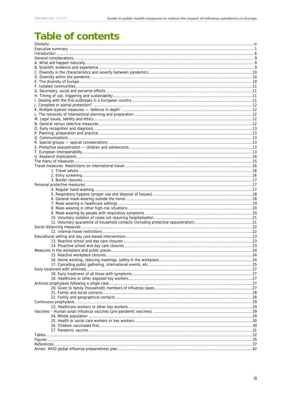# Table of contents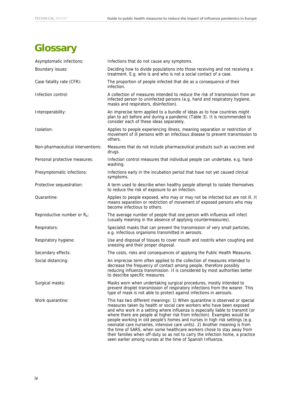# <span id="page-4-0"></span>**Glossary**

| Asymptomatic infections:          | Infections that do not cause any symptoms.                                                                                                                                                                                                                                                                                                                                                                                                                                                                                                                                                                                                                                                                |
|-----------------------------------|-----------------------------------------------------------------------------------------------------------------------------------------------------------------------------------------------------------------------------------------------------------------------------------------------------------------------------------------------------------------------------------------------------------------------------------------------------------------------------------------------------------------------------------------------------------------------------------------------------------------------------------------------------------------------------------------------------------|
| Boundary issues:                  | Deciding how to divide populations into those receiving and not receiving a<br>treatment. E.g. who is and who is not a social contact of a case.                                                                                                                                                                                                                                                                                                                                                                                                                                                                                                                                                          |
| Case fatality rate (CFR):         | The proportion of people infected that die as a consequence of their<br>infection.                                                                                                                                                                                                                                                                                                                                                                                                                                                                                                                                                                                                                        |
| Infection control:                | A collection of measures intended to reduce the risk of transmission from an<br>infected person to uninfected persons (e.g. hand and respiratory hygiene,<br>masks and respirators, disinfection).                                                                                                                                                                                                                                                                                                                                                                                                                                                                                                        |
| Interoperability:                 | An imprecise term applied to a bundle of ideas as to how countries might<br>plan to act before and during a pandemic (Table 3). It is recommended to<br>consider each of these ideas separately.                                                                                                                                                                                                                                                                                                                                                                                                                                                                                                          |
| Isolation:                        | Applies to people experiencing illness, meaning separation or restriction of<br>movement of ill persons with an infectious disease to prevent transmission to<br>others.                                                                                                                                                                                                                                                                                                                                                                                                                                                                                                                                  |
| Non-pharmaceutical interventions: | Measures that do not include pharmaceutical products such as vaccines and<br>drugs.                                                                                                                                                                                                                                                                                                                                                                                                                                                                                                                                                                                                                       |
| Personal protective measures:     | Infection control measures that individual people can undertake, e.g. hand-<br>washing.                                                                                                                                                                                                                                                                                                                                                                                                                                                                                                                                                                                                                   |
| Presymptomatic infections:        | Infections early in the incubation period that have not yet caused clinical<br>symptoms.                                                                                                                                                                                                                                                                                                                                                                                                                                                                                                                                                                                                                  |
| Protective sequestration:         | A term used to describe when healthy people attempt to isolate themselves<br>to reduce the risk of exposure to an infection.                                                                                                                                                                                                                                                                                                                                                                                                                                                                                                                                                                              |
| Quarantine:                       | Applies to people exposed, who may or may not be infected but are not ill. It<br>means separation or restriction of movement of exposed persons who may<br>become infectious to others.                                                                                                                                                                                                                                                                                                                                                                                                                                                                                                                   |
| Reproductive number or $R_0$ :    | The average number of people that one person with influenza will infect<br>(usually meaning in the absence of applying countermeasures).                                                                                                                                                                                                                                                                                                                                                                                                                                                                                                                                                                  |
| Respirators:                      | Specialist masks that can prevent the transmission of very small particles,<br>e.g. infectious organisms transmitted in aerosols.                                                                                                                                                                                                                                                                                                                                                                                                                                                                                                                                                                         |
| Respiratory hygiene:              | Use and disposal of tissues to cover mouth and nostrils when coughing and<br>sneezing and their proper disposal.                                                                                                                                                                                                                                                                                                                                                                                                                                                                                                                                                                                          |
| Secondary effects:                | The costs, risks and consequences of applying the Public Health Measures.                                                                                                                                                                                                                                                                                                                                                                                                                                                                                                                                                                                                                                 |
| Social distancing:                | An imprecise term often applied to the collection of measures intended to<br>decrease the frequency of contact among people, therefore possibly<br>reducing influenza transmission. It is considered by most authorities better<br>to describe specific measures.                                                                                                                                                                                                                                                                                                                                                                                                                                         |
| Surgical masks:                   | Masks worn when undertaking surgical procedures, mostly intended to<br>prevent droplet transmission of respiratory infections from the wearer. This<br>type of mask is not able to protect against infections in aerosols.                                                                                                                                                                                                                                                                                                                                                                                                                                                                                |
| Work quarantine:                  | This has two different meanings: 1) When quarantine is observed or special<br>measures taken by health or social care workers who have been exposed<br>and who work in a setting where influenza is especially liable to transmit (or<br>where there are people at higher risk from infection). Examples would be<br>people working in old people's homes and nurses in high risk settings (e.g.<br>neonatal care nurseries, intensive care units). 2) Another meaning is from<br>the time of SARS, when some healthcare workers chose to stay away from<br>their families when off-duty so as not to carry the infection home, a practice<br>seen earlier among nurses at the time of Spanish Influenza. |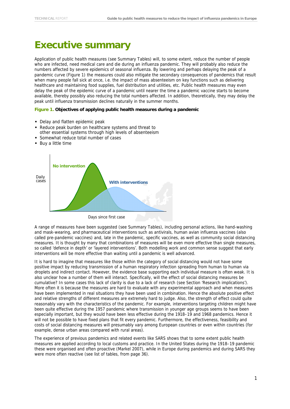# <span id="page-5-0"></span>**Executive summary**

Application of public health measures (see Summary Tables) will, to some extent, reduce the number of people who are infected, need medical care and die during an influenza pandemic. They will probably also reduce the numbers affected by severe epidemics of seasonal influenza. By lowering and perhaps delaying the peak of a pandemic curve (Figure 1) the measures could also mitigate the secondary consequences of pandemics that result when many people fall sick at once, i.e. the impact of mass absenteeism on key functions such as delivering healthcare and maintaining food supplies, fuel distribution and utilities, etc. Public health measures may even delay the peak of the epidemic curve of a pandemic until nearer the time a pandemic vaccine starts to become available, thereby possibly also reducing the total numbers affected. In addition, theoretically, they may delay the peak until influenza transmission declines naturally in the summer months.

#### **Figure 1. Objectives of applying public health measures during a pandemic**

- Delay and flatten epidemic peak
- Reduce peak burden on healthcare systems and threat to other essential systems through high levels of absenteeism
- Somewhat reduce total number of cases
- **Buy a little time**



Days since first case

A range of measures have been suggested (see Summary Tables), including personal actions, like hand-washing and mask-wearing, and pharmaceutical interventions such as antivirals, human avian influenza vaccines (also called pre-pandemic vaccines) and, late in the pandemic, specific vaccines, as well as community social distancing measures. It is thought by many that combinations of measures will be even more effective than single measures, so called 'defence in depth' or 'layered interventions'. Both modelling work and common sense suggest that early interventions will be more effective than waiting until a pandemic is well advanced.

It is hard to imagine that measures like those within the category of social distancing would not have some positive impact by reducing transmission of a human respiratory infection spreading from human to human via droplets and indirect contact. However, the evidence base supporting each individual measure is often weak. It is also unclear how a number of them will interact. Specifically, will the effect of social distancing measures be cumulative? In some cases this lack of clarity is due to a lack of research (see Section 'Research implications'). More often it is because the measures are hard to evaluate with any experimental approach and when measures have been implemented in real situations they have been used in combination. Hence the absolute positive effect and relative strengths of different measures are extremely hard to judge. Also, the strength of effect could quite reasonably vary with the characteristics of the pandemic. For example, interventions targeting children might have been quite effective during the 1957 pandemic where transmission in younger age groups seems to have been especially important, but they would have been less effective during the 1918–19 and 1968 pandemics. Hence it will not be possible to have fixed plans that fit every pandemic. Furthermore, the effectiveness, feasibility and costs of social distancing measures will presumably vary among European countries or even within countries (for example, dense urban areas compared with rural areas).

The experience of previous pandemics and related events like SARS shows that to some extent public health measures are applied according to local customs and practice. In the United States during the 1918–19 pandemic these were organised and often proactive (Markel 2007), while in Europe during pandemics and during SARS they were more often reactive (see list of tables, from page 36).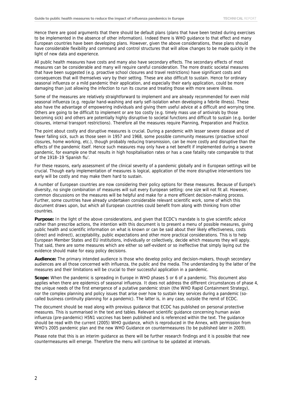Hence there are good arguments that there should be default plans (plans that have been tested during exercises to be implemented in the absence of other information). Indeed there is WHO guidance to that effect and many European countries have been developing plans. However, given the above considerations, these plans should have considerable flexibility and command and control structures that will allow changes to be made quickly in the light of new data and experience.

All public health measures have costs and many also have secondary effects. The secondary effects of most measures can be considerable and many will require careful consideration. The more drastic societal measures that have been suggested (e.g. proactive school closures and travel restrictions) have significant costs and consequences that will themselves vary by their setting. These are also difficult to sustain. Hence for ordinary seasonal influenza or a mild pandemic their application, and especially their early application, could be more damaging than just allowing the infection to run its course and treating those with more severe illness.

Some of the measures are relatively straightforward to implement and are already recommended for even mild seasonal influenza (e.g. regular hand-washing and early self-isolation when developing a febrile illness). These also have the advantage of empowering individuals and giving them useful advice at a difficult and worrying time. Others are going to be difficult to implement or are too costly (e.g. timely mass use of antivirals by those becoming sick) and others are potentially highly disruptive to societal functions and difficult to sustain (e.g. border closures, internal transport restrictions). Therefore all the measures require Planning, Preparation and Practice.

The point about costly and disruptive measures is crucial. During a pandemic with lesser severe disease and of fewer falling sick, such as those seen in 1957 and 1968, some possible community measures (proactive school closures, home working, etc.), though probably reducing transmission, can be more costly and disruptive than the effects of the pandemic itself. Hence such measures may only have a net benefit if implemented during a severe pandemic, for example one that results in high hospitalisation rates or has a case fatality rate comparable to that of the 1918–19 'Spanish flu'.

For these reasons, early assessment of the clinical severity of a pandemic globally and in European settings will be crucial. Though early implementation of measures is logical, application of the more disruptive interventions too early will be costly and may make them hard to sustain.

A number of European countries are now considering their policy options for these measures. Because of Europe's diversity, no single combination of measures will suit every European setting: one size will not fit all. However, common discussions on the measures will be helpful and make for a more efficient decision-making process. Further, some countries have already undertaken considerable relevant scientific work, some of which this document draws upon, but which all European countries could benefit from along with thinking from other countries.

**Purpose:** In the light of the above considerations, and given that ECDC's mandate is to give scientific advice rather than prescribe actions, the intention with this document is to present a menu of possible measures, giving public health and scientific information on what is known or can be said about their likely effectiveness, costs (direct and indirect), acceptability, public expectations and other more practical considerations. This is to help European Member States and EU institutions, individually or collectively, decide which measures they will apply. That said, there are some measures which are either so self-evident or so ineffective that simply laying out the evidence should make for easy policy decisions.

**Audience:** The primary intended audience is those who develop policy and decision-makers, though secondary audiences are all those concerned with influenza, the public and the media. The understanding by the latter of the measures and their limitations will be crucial to their successful application in a pandemic.

**Scope:** When the pandemic is spreading in Europe in WHO phases 5 or 6 of a pandemic. This document also applies when there are epidemics of seasonal influenza. It does not address the different circumstances of phase 4, the unique needs of the first emergence of a putative pandemic strain (the WHO Rapid Containment Strategy), nor the complex planning and policy issues that arise over how to sustain key services during a pandemic (socalled business continuity planning for a pandemic). The latter is, in any case, outside the remit of ECDC.

The document should be read along with previous guidance that ECDC has published on personal protective measures. This is summarised in the text and tables. Relevant scientific guidance concerning human avian influenza (pre-pandemic) H5N1 vaccines has been published and is referenced within the text. The guidance should be read with the current (2005) WHO guidance, which is reproduced in the Annex, with permission from WHO's 2005 pandemic plan and the new WHO Guidance on countermeasures (to be published later in 2009).

Please note that this is an interim guidance as there will be further research findings and it is possible that new countermeasures will emerge. Therefore the menu will continue to be updated at intervals.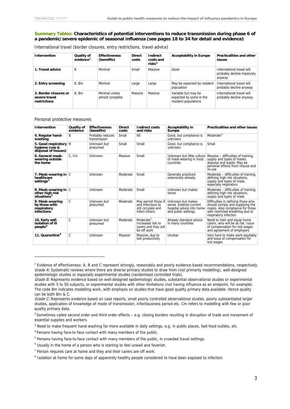#### **Summary Tables: Characteristics of potential interventions to reduce transmission during phase 6 of a pandemic/severe epidemic of seasonal influenza (see pages 18 to 34 for detail and evidence)**

| <b>Intervention</b>                                    | Quality of<br>evidence <sup>1</sup> | <b>Effectiveness</b><br>(benefits) | <b>Direct</b><br>costs | Indirect<br>costs and<br>ri <sub>sks</sub> <sup>2</sup> | <b>Acceptability in Europe</b>                                         | <b>Practicalities and other</b><br>issues                         |
|--------------------------------------------------------|-------------------------------------|------------------------------------|------------------------|---------------------------------------------------------|------------------------------------------------------------------------|-------------------------------------------------------------------|
| 1. Travel advice                                       | B                                   | Minimal                            | Small                  | Massive                                                 | Good                                                                   | International travel will<br>probably decline massively<br>anyway |
| 2. Entry screening                                     | B, Bm                               | Minimal                            | Large                  | Large                                                   | May be expected by resident<br>population                              | International travel will<br>probably decline anyway              |
| 3. Border closures or<br>severe travel<br>restrictions | B. Bm                               | Minimal unless<br>almost complete  | Massive                | Massive                                                 | Variable but may be<br>expected by some in the<br>resident populations | International travel will<br>probably decline anyway              |

International travel (border closures, entry restrictions, travel advice)

Personal protective measures

| Intervention                                                         | Quality of<br>evidence | <b>Effectiveness</b><br>(benefits) | <b>Direct</b><br>costs | Indirect costs<br>and risks                                                                      | Acceptability in<br>Europe                                                                       | <b>Practicalities and other issues</b>                                                                                                                                     |
|----------------------------------------------------------------------|------------------------|------------------------------------|------------------------|--------------------------------------------------------------------------------------------------|--------------------------------------------------------------------------------------------------|----------------------------------------------------------------------------------------------------------------------------------------------------------------------------|
| 4. Regular hand-<br>washing                                          | B                      | Probably reduces<br>transmission   | Small                  | Nil                                                                                              | Good, but compliance is<br>unknown                                                               | Moderate $3$                                                                                                                                                               |
| 5. Good respiratory B<br>hygiene (use &<br>disposal of tissues)      |                        | Unknown but<br>presumed            | Small                  | Small                                                                                            | Good, but compliance is<br>unknown                                                               | Small                                                                                                                                                                      |
| 6. General mask-<br>wearing outside<br>the home                      | C. Cm                  | Unknown                            | Massive                | Small                                                                                            | of mask-wearing in most<br>countries                                                             | Unknown but little culture   Massive - difficulties of training,<br>supply and types of masks,<br>disposal and waste. May be<br>perverse effects from misuse and<br>re-use |
| 7. Mask-wearing in C<br>healthcare<br>settings <sup>4</sup>          |                        | Unknown                            | Moderate               | Small                                                                                            | Generally practiced<br>extensively already                                                       | Moderate - difficulties of training,<br>defining high risk situations,<br>supply and types of mask,<br>especially respirators                                              |
| 8. Mask-wearing in C<br>other high risk<br>situations <sup>5</sup>   |                        | Unknown                            | Moderate               | Small                                                                                            | Unknown but makes<br>sense                                                                       | Moderate - difficulties of training,<br>defining high risk situations,<br>supply and types of mask                                                                         |
| 9. Mask-wearing<br>by those with<br>respiratory<br><b>infections</b> | C                      | Unknown but<br>presumed            | Moderate               | May permit those ill<br>and infectious to<br>still circulate and<br>infect others                | Unknown but makes<br>sense. Extends current<br>hospital advice into home<br>and public settings. | Difficulties in defining those who<br>should comply and supplying the<br>masks. Also compliance for those<br>with restricted breathing due to<br>respiratory infection     |
| 10. Early self-<br>isolation of ill<br>people <sup>6</sup>           | C                      | Unknown but<br>presumed            | Moderate               | Moderate <sup><math>7</math></sup> .<br>Increased risk to<br>carers and they will<br>be off work | Already standard advice<br>in many countries                                                     | Need to train and equip home<br>carers, who will be at risk. Issue<br>of compensation for lost wages<br>and agreement of employers                                         |
| 11. Quarantine <sup>8</sup>                                          | C                      | Unknown                            | Massive                | Massive, due to<br>lost productivity                                                             | Unclear                                                                                          | Very hard to make work equitably<br>and issue of compensation for<br>lost wages                                                                                            |

<span id="page-7-0"></span><sup>&</sup>lt;sup>1</sup> Evidence of effectiveness: A, B and C represent strongly, reasonably and poorly evidence-based recommendations, respectively. Grade A: Systematic reviews where there are diverse primary studies to draw from (not primarily modelling), well-designed epidemiologic studies or especially experimental studies (randomised controlled trials).

Grade B: Represents evidence based on well-designed epidemiologic studies, substantial observational studies or experimental studies with 5 to 50 subjects, or experimental studies with other limitations (not having influenza as an endpoint, for example). The code Bm indicates modelling work, with emphasis on studies that have good quality primary data available. Hence quality can be both Bm & C.

Grade C: Represents evidence based on case reports, small poorly controlled observational studies, poorly substantiated larger studies, application of knowledge of mode of transmission, infectiousness period etc. Cm refers to modelling with few or poor quality primary data.

<span id="page-7-1"></span> $2$  Sometimes called second order and third order effects – e.g. closing borders resulting in disruption of trade and movement of essential supplies and workers.

<span id="page-7-2"></span><sup>&</sup>lt;sup>3</sup> Need to make frequent hand-washing far more available in daily settings, e.g. in public places, fast-food outlets, etc.

<span id="page-7-4"></span><span id="page-7-3"></span><sup>4</sup> Persons having face-to-face contact with many members of the public.

<sup>&</sup>lt;sup>5</sup> Persons having face-to-face contact with many members of the public, in crowded travel settings.

<span id="page-7-5"></span><sup>&</sup>lt;sup>6</sup> Usually in the home of a person who is starting to feel unwell and feverish.

<span id="page-7-6"></span><sup>&</sup>lt;sup>7</sup> Person requires care at home and they and their carers are off work.

<span id="page-7-7"></span><sup>&</sup>lt;sup>8</sup> Isolation at home for some days of apparently healthy people considered to have been exposed to infection.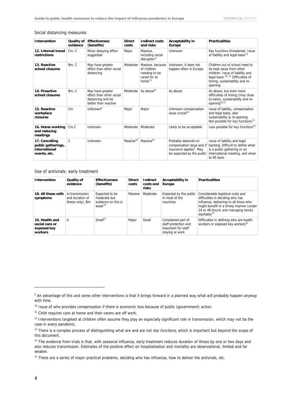#### Social distancing measures

| <b>Intervention</b>                                                   | Quality of<br>evidence | <b>Effectiveness</b><br>(benefits)                                                        | <b>Direct</b><br>costs | <b>Indirect costs</b><br>and risks                                                     | <b>Acceptability in</b><br>Europe                                                                                     | <b>Practicalities</b>                                                                                                                                                                       |
|-----------------------------------------------------------------------|------------------------|-------------------------------------------------------------------------------------------|------------------------|----------------------------------------------------------------------------------------|-----------------------------------------------------------------------------------------------------------------------|---------------------------------------------------------------------------------------------------------------------------------------------------------------------------------------------|
| 12. Internal travel<br>restrictions                                   | Cm, C                  | Minor delaying effect<br>suggested                                                        | Major                  | Massive.<br>including social<br>disruption <sup>9</sup>                                | Unknown                                                                                                               | Key functions threatened. Issue<br>of liability and legal basis <sup>10</sup>                                                                                                               |
| 13. Reactive<br>school closures                                       | Bm. C                  | May have greater<br>effect than other social<br>distancing                                | Moderate               | Massive, because<br>of children<br>needing to be<br>cared for at<br>home <sup>11</sup> | Unknown, it does not<br>happen often in Europe                                                                        | Children out of school need to<br>be kept away from other<br>children. Issue of liability and<br>legal basis <sup>10, 12</sup> Difficulties of<br>timing, sustainability and re-<br>opening |
| 14. Proactive<br>school closures                                      | Bm, C                  | May have greater<br>effect than other social<br>distancing and be<br>better than reactive | Moderate               | As above <sup>11</sup>                                                                 | As above                                                                                                              | As above, but even more<br>difficulties of timing (may close<br>to early), sustainability and re-<br>opening <sup>10,12</sup>                                                               |
| 15. Reactive<br>workplace<br>closures                                 | $\mathsf{Cm}$          | Unknown <sup>9</sup>                                                                      | Major                  | Major                                                                                  | Unknown compensation<br>issue crucial <sup>10</sup>                                                                   | Issue of liability, compensation<br>and legal basis, also<br>sustainability & re-opening.<br>Not possible for key functions <sup>13</sup>                                                   |
| 16. Home working<br>and reducing<br>meetings                          | Cm.C                   | Unknown                                                                                   | Moderate               | Moderate                                                                               | Likely to be acceptable                                                                                               | Less possible for key functions <sup>13</sup>                                                                                                                                               |
| 17. Cancelling<br>public gatherings,<br>international<br>events, etc. | C                      | Unknown                                                                                   | Massive <sup>10</sup>  | Massive <sup>10</sup>                                                                  | Probably depends on<br>compensation issue and if<br>insurance applies <sup>9</sup> . May<br>be expected by the public | Issue of liability and legal<br>backing. Difficult to define what<br>is a public gathering or an<br>international meeting, and when<br>to lift bans                                         |

Use of antivirals: early treatment

| Intervention                                               | Quality of<br>evidence                                  | <b>Effectiveness</b><br>(benefits)                                 | <b>Direct</b><br>costs | Indirect<br>costs and<br>risks | Acceptability in<br><b>Europe</b>                                                    | <b>Practicalities</b>                                                                                                                                                                                                        |
|------------------------------------------------------------|---------------------------------------------------------|--------------------------------------------------------------------|------------------------|--------------------------------|--------------------------------------------------------------------------------------|------------------------------------------------------------------------------------------------------------------------------------------------------------------------------------------------------------------------------|
| 18. All those with<br>symptoms                             | A (transmission<br>and duration of<br>illness only), Bm | Expected to be<br>moderate but<br>evidence on this is<br>weak $14$ | Massive                | Moderate                       | Expected by the public<br>in most of the<br>countries                                | Considerable logistical costs and<br>difficulties in deciding who has<br>influenza, delivering to all those who<br>might benefit in a timely manner (under<br>24 or 48 hours) and managing stocks<br>equitably <sup>15</sup> |
| 19. Health and<br>social care or<br>exposed key<br>workers | A                                                       | Small <sup>15</sup>                                                | Major                  | Small                          | Considered part of<br>staff protection and<br>important for staff<br>staying at work | Difficulties in defining who are health<br>workers or exposed key workers <sup>15</sup>                                                                                                                                      |

<span id="page-8-1"></span><sup>10</sup> Issue of who provides compensation if there is economic loss because of public (government) action.

<span id="page-8-2"></span><sup>11</sup> Child requires care at home and their carers are off work.

<span id="page-8-0"></span><sup>&</sup>lt;sup>9</sup> An advantage of this and some other interventions is that it brings forward in a planned way what will probably happen anyway with time.

<span id="page-8-3"></span><sup>&</sup>lt;sup>12</sup> Interventions targeted at children often assume they play an especially significant role in transmission, which may not be the case in every pandemic.

<span id="page-8-4"></span><sup>&</sup>lt;sup>13</sup> There is a complex process of distinguishing what are and are not key functions, which is important but beyond the scope of this document.

<span id="page-8-5"></span><sup>&</sup>lt;sup>14</sup> The evidence from trials is that, with seasonal influenza, early treatment reduces duration of illness by one or two days and also reduces transmission. Estimates of the positive effect on hospitalisation and mortality are observational, limited and far weaker.

<span id="page-8-6"></span><sup>&</sup>lt;sup>15</sup> There are a series of major practical problems, deciding who has influenza, how to deliver the antivirals, etc.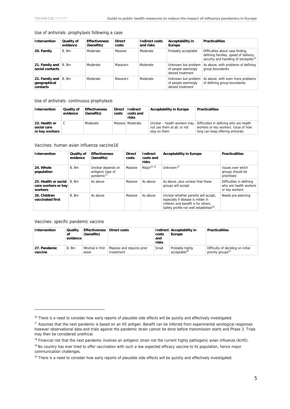#### Use of antivirals: prophylaxis following a case

| Intervention                               | Quality of<br>evidence | <b>Effectiveness</b><br>(benefits) | <b>Direct</b><br>costs | Indirect costs<br>and risks | Acceptability in<br>Europe                                     | <b>Practicalities</b>                                                                                                          |
|--------------------------------------------|------------------------|------------------------------------|------------------------|-----------------------------|----------------------------------------------------------------|--------------------------------------------------------------------------------------------------------------------------------|
| 20. Family                                 | B. Bm                  | Moderate                           | Massive                | Moderate                    | Probably acceptable                                            | Difficulties about case finding,<br>defining families, speed of delivery,<br>security and handling of stockpiles <sup>16</sup> |
| 21. Family and<br>social contacts          | B. Bm                  | Moderate                           | $Massive+$             | Moderate                    | Unknown but problem<br>of people seemingly<br>denied treatment | As above, with problems of defining<br>group boundaries                                                                        |
| 22. Family and<br>geographical<br>contacts | B. Bm                  | Moderate                           | $Massive+$             | Moderate                    | Unknown but problem<br>of people seemingly<br>denied treatment | As above, with even more problems<br>of defining group boundaries                                                              |

Use of antivirals: continuous prophylaxis

| Intervention                                   | Quality of<br>evidence | <b>Effectiveness</b><br>(benefits) | <b>Direct</b><br>costs | Indirect<br>costs and<br>risks | <b>Acceptability in Europe</b>                                              | <b>Practicalities</b>                                                                                                |
|------------------------------------------------|------------------------|------------------------------------|------------------------|--------------------------------|-----------------------------------------------------------------------------|----------------------------------------------------------------------------------------------------------------------|
| 23. Health or<br>social care<br>or key workers | C                      | Moderate                           |                        | Massive   Moderate             | Unclear - health workers may<br>not use them at all, or not<br>stay on them | Difficulties in defining who are health<br>workers or key workers. Issue of how<br>long can keep offering antivirals |

#### Vaccines: human avian influenza vaccine16

| Intervention                                           | Quality of<br>evidence | <b>Effectiveness</b><br>(benefits)                                | <b>Direct</b><br>costs | Indirect<br>costs and<br>risks | <b>Acceptability in Europe</b>                                                                                                                                           | <b>Practicalities</b>                                                |
|--------------------------------------------------------|------------------------|-------------------------------------------------------------------|------------------------|--------------------------------|--------------------------------------------------------------------------------------------------------------------------------------------------------------------------|----------------------------------------------------------------------|
| 24. Whole<br>population                                | B. Bm                  | Unclear depends on<br>antigenic type of<br>pandemic <sup>17</sup> | Massive                | Major $16, 18$                 | Unknown $19$                                                                                                                                                             | Issues over which<br>groups should be<br>prioritised                 |
| 25. Health or social<br>care workers or key<br>workers | B. Bm                  | As above                                                          | Massive                | As above                       | As above, plus unclear that these<br>groups will accept                                                                                                                  | Difficulties in defining<br>who are health workers<br>or key workers |
| 26. Children<br>vaccinated first                       | B. Bm                  | As above                                                          | Massive                | As above                       | Unclear whether parents will accept,<br>especially if disease is milder in<br>children and benefit is for others.<br>Safety profile not well established <sup>20</sup> . | Needs pre-planning                                                   |

Vaccines: specific pandemic vaccine

| <b>Intervention</b>     | Quality<br>οf<br>evidence | <b>Effectiveness</b><br>(benefits) | Direct costs                             | costs<br>and<br>risks | Indirect Acceptability in<br>Europe         | <b>Practicalities</b>                                              |
|-------------------------|---------------------------|------------------------------------|------------------------------------------|-----------------------|---------------------------------------------|--------------------------------------------------------------------|
| 27. Pandemic<br>vaccine | B. Bm                     | Minimal in first<br>wave           | Massive and requires prior<br>investment | Small                 | Probably highly<br>acceptable <sup>20</sup> | Difficulty of deciding on initial<br>priority groups <sup>16</sup> |

<span id="page-9-0"></span><sup>&</sup>lt;sup>16</sup> There is a need to consider how early reports of plausible side effects will be quickly and effectively investigated.

<span id="page-9-1"></span><sup>&</sup>lt;sup>17</sup> Assumes that the next pandemic is based on an H5 antigen. Benefit can be inferred from experimental serological responses however observational data and trials against the pandemic strain cannot be done before transmission starts and Phase 3. Trials may then be considered unethical.

<sup>&</sup>lt;sup>18</sup> Financial risk that the next pandemic involves an antigenic strain not the current highly pathogenic avian influenza (A/H5).

<span id="page-9-3"></span><span id="page-9-2"></span><sup>&</sup>lt;sup>19</sup> No country has ever tried to offer vaccination with such a low expected efficacy vaccine to its population, hence major communication challenges.

<span id="page-9-4"></span><sup>&</sup>lt;sup>20</sup> There is a need to consider how early reports of plausible side effects will be quickly and effectively investigated.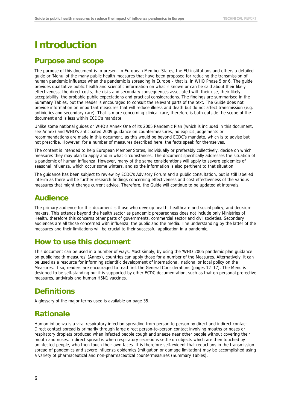# <span id="page-10-0"></span>**Introduction**

### **Purpose and scope**

The purpose of this document is to present to European Member States, the EU institutions and others a detailed guide or 'Menu' of the many public health measures that have been proposed for reducing the transmission of human pandemic influenza when the pandemic is spreading in Europe – that is, in WHO Phase 5 or 6. The guide provides qualitative public health and scientific information on what is known or can be said about their likely effectiveness, the direct costs, the risks and secondary consequences associated with their use, their likely acceptability, the probable public expectations and practical considerations. The findings are summarised in the Summary Tables, but the reader is encouraged to consult the relevant parts of the text. The Guide does not provide information on important measures that will reduce illness and death but do not affect transmission (e.g. antibiotics and secondary care). That is more concerning clinical care, therefore is both outside the scope of the document and is less within ECDC's mandate.

Unlike some national guides or WHO's Annex One of its 2005 Pandemic Plan (which is included in this document, see Annex) and WHO's anticipated 2009 guidance on countermeasures, no explicit judgements or recommendations are made in this document, as this would be beyond ECDC's mandate, which is to advise but not prescribe. However, for a number of measures described here, the facts speak for themselves.

The content is intended to help European Member States, individually or preferably collectively, decide on which measures they may plan to apply and in what circumstances. The document specifically addresses the situation of a pandemic of human influenza. However, many of the same considerations will apply to severe epidemics of seasonal influenza, which occur some winters, and so the information is also pertinent to that situation.

The guidance has been subject to review by ECDC's Advisory Forum and a public consultation, but is still labelled interim as there will be further research findings concerning effectiveness and cost-effectiveness of the various measures that might change current advice. Therefore, the Guide will continue to be updated at intervals.

### **Audience**

The primary audience for this document is those who develop health, healthcare and social policy, and decisionmakers. This extends beyond the health sector as pandemic preparedness does not include only Ministries of Health, therefore this concerns other parts of governments, commercial sector and civil societies. Secondary audiences are all those concerned with influenza, the public and the media. The understanding by the latter of the measures and their limitations will be crucial to their successful application in a pandemic.

### **How to use this document**

This document can be used in a number of ways. Most simply, by using the 'WHO 2005 pandemic plan guidance on public health measures' (Annex), countries can apply those for a number of the Measures. Alternatively, it can be used as a resource for informing scientific development of international, national or local policy on the Measures. If so, readers are encouraged to read first the General Considerations (pages 12–17). The Menu is designed to be self-standing but it is supported by other ECDC documentation, such as that on personal protective measures, antivirals and human H5N1 vaccines.

# **Definitions**

A glossary of the major terms used is available on page 35.

### **Rationale**

Human influenza is a viral respiratory infection spreading from person to person by direct and indirect contact. Direct contact spread is primarily through large direct person-to-person contact involving mouths or noses or respiratory droplets produced when infected people cough and sneeze near other people without covering their mouth and noses. Indirect spread is when respiratory secretions settle on objects which are then touched by uninfected people, who then touch their own faces. It is therefore self-evident that reductions in the transmission spread of pandemics and severe influenza epidemics (mitigation or damage limitation) may be accomplished using a variety of pharmaceutical and non-pharmaceutical countermeasures (Summary Tables).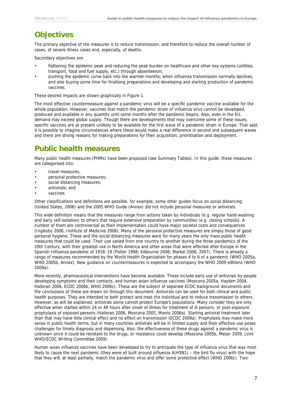# **Objectives**

The primary objective of the measures is to reduce transmission, and therefore to reduce the overall number of cases, of severe illness cases and, especially, of deaths.

Secondary objectives are:

- flattening the epidemic peak and reducing the peak burden on healthcare and other key systems (utilities, transport, food and fuel supply, etc.) through absenteeism;
- pushing the epidemic curve back into the warmer months, when influenza transmission normally declines, and also buying some time for finalising preparations and developing and starting production of pandemic vaccines.

These desired impacts are shown graphically in Figure 1.

The most effective countermeasure against a pandemic virus will be a specific pandemic vaccine available for the whole population. However, vaccines that match the pandemic strain of influenza virus cannot be developed, produced and available in any quantity until some months after the pandemic begins. Also, even in the EU, demand may exceed global supply. Though there are developments that may overcome some of these issues, specific vaccines are at present unlikely to be available for the first wave of a pandemic strain in Europe. That said, it is possible to imagine circumstances where these would make a real difference in second and subsequent waves and there are strong reasons for making preparations for their acquisition, prioritisation and deployment.

# **Public health measures**

Many public health measures (PHMs) have been proposed (see Summary Tables). In this guide, these measures are categorised into:

- travel measures;
- personal protective measures;
- social distancing measures;
- antivirals; and
- vaccines.

Other classifications and definitions are possible, for example, some other guides focus on social distancing (United States, 2006) and the 2005 WHO Guide (Annex) did not include personal measures or antivirals.

This wide definition means that the measures range from actions taken by individuals (e.g. regular hand-washing and early self-isolation) to others that require extensive preparation by communities (e.g. closing schools). A number of them are controversial as their implementation could have major societal costs and consequences (Inglesby 2006, Institute of Medicine 2006). Many of the personal protective measures are simply those of good personal hygiene. These and the social distancing measures were for many years the only mass public health measures that could be used. Their use varied from one country to another during the three pandemics of the 20th Century, with their greatest use in North America and other areas that were affected after Europe in the Spanish Influenza pandemic of 1918–19 (Potter 1998; Kilbourne 2006; Markel 2006, 2007). There is already a range of measures recommended by the World Health Organization for phases 4 to 6 of a pandemic (WHO 2005a, WHO 2005b, Annex). New guidance on countermeasures is expected to accompany the WHO 2009 editions (WHO 2009a).

More recently, pharmaceutical interventions have become available. These include early use of antivirals by people developing symptoms and their contacts, and human avian influenza vaccines (Moscona 2005a, Hayden 2004, Halloran 2006, ECDC 2006b, WHO 2006c). These are the subject of separate ECDC background documents and the conclusions of these are drawn on through this document. Antivirals can be used for both clinical and public health purposes. They are intended to both protect and treat the individual and to reduce transmission to others. However, as will be explained, antivirals alone cannot protect Europe's populations. Many consider they are only effective when started within 24 or 48 hours after onset of illness for treatment of ill persons, or post-exposure prophylaxis of exposed persons (Halloran 2006, Moscona 2005, Monto 2006a). Starting antiviral treatment later than that may have little clinical effect and no effect on transmission (ECDC 2009a). Prophylaxis may make more sense in public health terms, but in many countries antivirals will be in limited supply and their effective use poses challenges for timely diagnosis and dispensing. Also, the effectiveness of these drugs against a pandemic virus is unknown since it could be resistant to the drugs, or resistance could develop (Moscona 2005b, Meijer 2009, Joint WHO/ECDC Writing Committee 2009).

Human avian influenza vaccines have been developed to try to anticipate the type of influenza virus that was most likely to cause the next pandemic (they were all built around influenza A(H5N1) – the bird flu virus) with the hope that they will, at least partially, match the pandemic virus and offer some protective effect (WHO 2006c). Two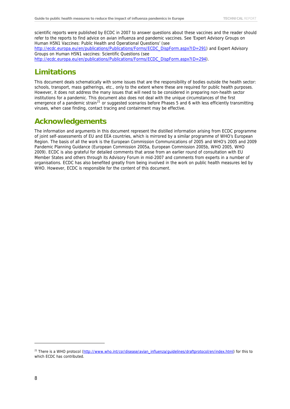scientific reports were published by ECDC in 2007 to answer questions about these vaccines and the reader should refer to the reports to find advice on avian influenza and pandemic vaccines. See 'Expert Advisory Groups on Human H5N1 Vaccines: Public Health and Operational Questions' (see

[http://ecdc.europa.eu/en/publications/Publications/Forms/ECDC\\_DispForm.aspx?ID=291](http://ecdc.europa.eu/en/publications/Publications/Forms/ECDC_DispForm.aspx?ID=291)) and Expert Advisory Groups on Human H5N1 vaccines: Scientific Questions (see

[http://ecdc.europa.eu/en/publications/Publications/Forms/ECDC\\_DispForm.aspx?ID=294](http://ecdc.europa.eu/en/publications/Publications/Forms/ECDC_DispForm.aspx?ID=294)).

# **Limitations**

This document deals schematically with some issues that are the responsibility of bodies outside the health sector: schools, transport, mass gatherings, etc., only to the extent where these are required for public health purposes. However, it does not address the many issues that will need to be considered in preparing non-health sector institutions for a pandemic. This document also does not deal with the unique circumstances of the first emergence of a pandemic strain<sup>[21](#page-12-0)</sup> or suggested scenarios before Phases 5 and 6 with less efficiently transmitting viruses, when case finding, contact tracing and containment may be effective.

# **Acknowledgements**

The information and arguments in this document represent the distilled information arising from ECDC programme of joint self-assessments of EU and EEA countries, which is mirrored by a similar programme of WHO's European Region. The basis of all the work is the European Commission Communications of 2005 and WHO's 2005 and 2009 Pandemic Planning Guidance (European Commission 2005a, European Commission 2005b, WHO 2005, WHO 2009). ECDC is also grateful for detailed comments that arose from an earlier round of consultation with EU Member States and others through its Advisory Forum in mid-2007 and comments from experts in a number of organisations. ECDC has also benefited greatly from being involved in the work on public health measures led by WHO. However, ECDC is responsible for the content of this document.

<span id="page-12-0"></span><sup>&</sup>lt;sup>21</sup> There is a WHO protocol [\(http://www.who.int/csr/disease/avian\\_influenza/guidelines/draftprotocol/en/index.html](http://www.who.int/csr/disease/avian_influenza/guidelines/draftprotocol/en/index.html)) for this to which ECDC has contributed.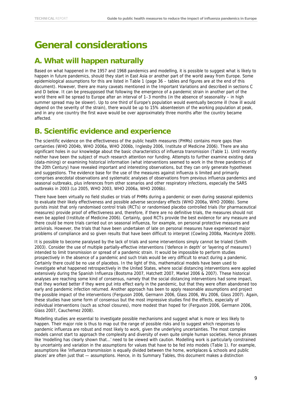# <span id="page-13-0"></span>**General considerations**

# **A. What will happen naturally**

<span id="page-13-1"></span>Based on what happened in the 1957 and 1968 pandemics and modelling, it is possible to suggest what is likely to happen in future pandemics, should they start in East Asia or another part of the world away from Europe. Some epidemiological assumptions for this are listed in Table 1 (page 36 – tables and figures are at the end of this document). However, there are many caveats mentioned in the Important Variations and described in sections C and D below. It can be presupposed that following the emergence of a pandemic strain in another part of the world there will be spread to Europe after an interval of 1–3 months (in the absence of seasonality – in high summer spread may be slower). Up to one third of Europe's population would eventually become ill (how ill would depend on the severity of the strain), there would be up to 15% absenteeism of the working population at peak, and in any one country the first wave would be over approximately three months after the country became affected.

### <span id="page-13-2"></span>**B. Scientific evidence and experience**

The scientific evidence on the effectiveness of the public health measures (PHMs) contains more gaps than certainties (WHO 2004b, WHO 2006a, WHO 2006b, Inglesby 2006, Institute of Medicine 2006). There are also significant holes in our knowledge about the basic characteristics of influenza transmission (Table 1). Until recently neither have been the subject of much research attention nor funding. Attempts to further examine existing data (data-mining) or examining historical information (what interventions seemed to work in the three pandemics of the 20th Century) have revealed important and interesting observations, but they can only generate hypotheses and suggestions. The evidence base for the use of the measures against influenza is limited and primarily comprises anecdotal observations and systematic analyses of observations from previous influenza pandemics and seasonal outbreaks, plus inferences from other scenarios and other respiratory infections, especially the SARS outbreaks in 2003 (Lo 2005, WHO 2003, WHO 2006a, WHO 2006b).

There have been virtually no field studies or trials of PHMs during a pandemic or even during seasonal epidemics to evaluate their likely effectiveness and possible adverse secondary effects (WHO 2006a, WHO 2006b). Some purists insist that only randomised control trials (RCTs) or randomised placebo controlled trials (for pharmaceutical measures) provide proof of effectiveness and, therefore, if there are no definitive trials, the measures should not even be applied (Institute of Medicine 2006). Certainly, good RCTs provide the best evidence for any measure and there could be more trials carried out on seasonal influenza, for example, on personal protective measures and antivirals. However, the trials that have been undertaken of late on personal measures have experienced major problems of compliance and so given results that have been difficult to interpret (Cowling 2008a, Macintyre 2009).

It is possible to become paralysed by the lack of trials and some interventions simply cannot be trialed (Smith 2003). Consider the use of multiple partially-effective interventions ('defence in depth' or 'layering of measures') intended to limit transmission or spread of a pandemic strain. It would be impossible to perform studies prospectively in the absence of a pandemic and such trials would be very difficult to enact during a pandemic. Certainly there could be no use of placebos. In the light of this, mathematical models have been used to investigate what happened retrospectively in the United States, where social distancing interventions were applied extensively during the Spanish Influenza (Bootsma 2007, Hatchett 2007, Markel 2006 & 2007). These historical analyses are reaching some kind of consensus, namely that the social distancing interventions had some impact, that they worked better if they were put into effect early in the pandemic, but that they were often abandoned too early and pandemic infection returned. Another approach has been to apply reasonable assumptions and project the possible impact of the interventions (Ferguson 2006, Germann 2006, Glass 2006, Wu 2006, Glass 2007). Again, these studies have some form of consensus but the most impressive studies find the effects, especially of individual interventions (such as school closures), more modest than hoped for (Ferguson 2006, Germann 2006, Glass 2007, Cauchemez 2008).

Modelling studies are essential to investigate possible mechanisms and suggest what is more or less likely to happen. Their major role is thus to map out the range of possible risks and to suggest which responses to pandemic influenza are robust and most likely to work, given the underlying uncertainties. The most complex models cannot start to approach the complexity and diversity of even quite simple human societies. Hence phrases like 'modelling has clearly shown that…' need to be viewed with caution. Modelling work is particularly constrained by uncertainty and variation in the assumptions for values that have to be fed into models (Table 1). For example, assumptions like 'influenza transmission is equally divided between the home, workplaces & schools and public places' are often just that — assumptions. Hence, in its Summary Tables, this document makes a distinction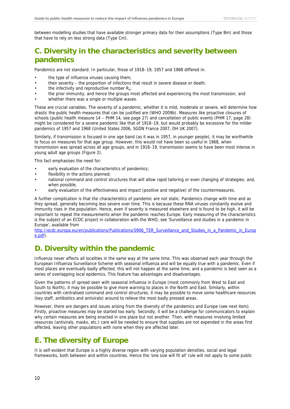between modelling studies that have available stronger primary data for their assumptions (Type Bm) and those that have to rely on less strong data (Type Cm).

# <span id="page-14-0"></span>**C. Diversity in the characteristics and severity between pandemics**

Pandemics are not standard. In particular, those of 1918–19, 1957 and 1968 differed in:

- the type of influenza viruses causing them;
- their severity the proportion of infections that result in severe disease or death;
- the infectivity and reproductive number  $R_0$ ;
- the prior immunity, and hence the groups most affected and experiencing the most transmission; and
- whether there was a single or multiple waves.

These are crucial variables. The severity of a pandemic, whether it is mild, moderate or severe, will determine how drastic the public health measures that can be justified are (WHO 2009b). Measures like proactive closures of schools (public health measure 14 – PHM 14, see page 27) and cancellation of public events (PHM 17, page 28) might be considered for a severe pandemic like that of 1918–19, but would probably be excessive for the milder pandemics of 1957 and 1968 (United States 2006, SGDN France 2007, DH UK 2007).

Similarly, if transmission is focused in one age band (as it was in 1957, in younger people), it may be worthwhile to focus on measures for that age group. However, this would not have been so useful in 1968, when transmission was spread across all age groups, and in 1918–19, transmission seems to have been most intense in young adult age groups (Figure 2).

This fact emphasises the need for:

- early evaluation of the characteristics of pandemics;
- flexibility in the actions planned;
- national command and control structures that will allow rapid tailoring or even changing of strategies; and, when possible,
- early evaluation of the effectiveness and impact (positive and negative) of the countermeasures.

A further complication is that the characteristics of pandemic are not static. Pandemics change with time and as they spread, generally becoming less severe over time. This is because these RNA viruses constantly evolve and immunity rises in the population. Hence, even if severity is measured elsewhere and is found to be high, it will be important to repeat the measurements when the pandemic reaches Europe. Early measuring of the characteristics is the subject of an ECDC project in collaboration with the WHO, see 'Surveillance and studies in a pandemic in Europe', available from

[http://ecdc.europa.eu/en/publications/Publications/0906\\_TER\\_Surveillance\\_and\\_Studies\\_in\\_a\\_Pandemic\\_in\\_Europ](http://ecdc.europa.eu/en/publications/Publications/0906_TER_Surveillance_and_Studies_in_a_Pandemic_in_Europe.pdf) [e.pdf](http://ecdc.europa.eu/en/publications/Publications/0906_TER_Surveillance_and_Studies_in_a_Pandemic_in_Europe.pdf)).

# <span id="page-14-1"></span>**D. Diversity within the pandemic**

Influenza never affects all localities in the same way at the same time. This was observed each year through the European Influenza Surveillance Scheme with seasonal influenza and will be equally true with a pandemic. Even if most places are eventually badly affected, this will not happen at the same time, and a pandemic is best seen as a series of overlapping local epidemics. This feature has advantages and disadvantages.

Given the patterns of spread seen with seasonal influenza in Europe (most commonly from West to East and South to North), it may be possible to give more warning to places in the North and East. Similarly, within countries with centralised command and control structures, it may be possible to move some healthcare resources (key staff, antibiotics and antivirals) around to relieve the most badly pressed areas.

However, there are dangers and issues arising from the diversity of the pandemics and Europe (see next item). Firstly, proactive measures may be started too early. Secondly, it will be a challenge for communicators to explain why certain measures are being enacted in one place but not another. Then, with measures involving limited resources (antivirals, masks, etc.) care will be needed to ensure that supplies are not expended in the areas first affected, leaving other populations with none when they are affected later.

# <span id="page-14-2"></span>**E. The diversity of Europe**

It is self-evident that Europe is a highly diverse region with varying population densities, social and legal frameworks, both between and within countries. Hence the 'one size will fit all' rule will not apply to some public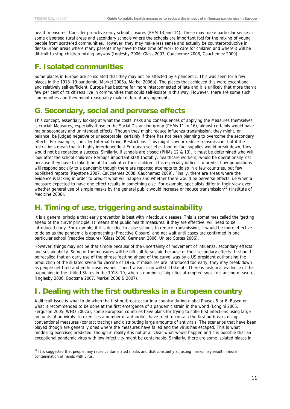-

health measures. Consider proactive early school closures (PHM 13 and 14). These may make particular sense in some dispersed rural areas and secondary schools where the schools are important foci for the mixing of young people from scattered communities. However, they may make less sense and actually be counterproductive in dense urban areas where many parents may have to take time off work to care for children and where it will be difficult to stop children mixing anyway (Inglesby 2006, Glass 2007, Cauchemez 2008, Cauchemez 2009).

# <span id="page-15-0"></span>**F. Isolated communities**

Some places in Europe are so isolated that they may not be affected by a pandemic. This was seen for a few places in the 1918–19 pandemic (Markel 2006a, Markel 2006b). The places that achieved this were exceptional and relatively self-sufficient. Europe has become far more interconnected of late and it is unlikely that more than a few per cent of its citizens live in communities that could self-isolate in this way. However, there are some such communities and they might reasonably make different arrangements.

# <span id="page-15-1"></span>**G. Secondary, social and perverse effects**

This concept, essentially looking at what the costs, risks and consequences of applying the Measures themselves, is crucial. Measures, especially those in the Social Distancing group (PHMs 11 to 16), almost certainly would have major secondary and unintended effects. Though they might reduce influenza transmission, they might, on balance, be judged negative or unacceptable, certainly if there has not been planning to overcome the secondary effects. For example, consider Internal Travel Restrictions. This might slow or reduce transmission, but if the restrictions mean that in highly interdependent European societies food or fuel supplies would break down, they would not be regarded a success. Similarly, if schools are closed (PHMs 12 & 13), it must be determined who will look after the school children? Perhaps important staff (notably, healthcare workers) would be operationally lost because they have to take time off to look after their children. It is especially difficult to predict how populations will respond socially to a pandemic though there are reported attempts to do so in a few countries, but few published reports (Keystone 2007, Cauchemez 2008, Cauchemez 2009). Finally, there are areas where the evidence is lacking in order to predict what will happen and whether there would be perverse effects, i.e when a measure expected to have one effect results in something else. For example, specialists differ in their view over whether general use of simple masks by the general public would increase or reduce transmission<sup>[22](#page-15-4)</sup> (Institute of Medicine 2006).

# <span id="page-15-2"></span>**H. Timing of use, triggering and sustainability**

It is a general principle that early prevention is best with infectious diseases. This is sometimes called the 'getting ahead of the curve' principle. It means that public health measures, if they are effective, will need to be introduced early. For example, if it is decided to close schools to reduce transmission, it would be more effective to do so as the pandemic is approaching (Proactive Closure) and not wait until cases are confirmed in one particular school (reactive closure) (Glass 2006, Germann 2006, United States 2006).

However, things may not be that simple because of the uncertainty of movement of influenza, secondary effects and sustainability. Some of the measures will be difficult to sustain because of their secondary effects. It should be recalled that an early use of the phrase 'getting ahead of the curve' was by a US president authorising the production of the ill-fated swine flu vaccine of 1976. If measures are introduced too early, they may break down as people get tired and enthusiasm wanes. Then transmission will still take off. There is historical evidence of this happening in the United States in the 1918–19, when a number of big cities attempted social distancing measures (Inglesby 2006, Bootsma 2007, Markel 2006 & 2007).

# <span id="page-15-3"></span>**I. Dealing with the first outbreaks in a European country**

A difficult issue is what to do when the first outbreak occur in a country during global Phases 5 or 6. Based on what is recommended to be done at the first emergence of a pandemic strain in the world (Longini 2005, Ferguson 2005, WHO 2007a), some European countries have plans for trying to stifle first infections using large amounts of antivirals. In exercises a number of authorities have tried to contain the first outbreaks using conventional measures (contact tracing) and distributing large amounts of antivirals. The scenarios that have been played though are generally ones where the measures have failed and the virus has escaped. This is what modelling exercises predicted, though in reality it is not at all clear what would happen and it is possible that an exceptional pandemic virus with low infectivity might be containable. Similarly, there are some isolated places in

<span id="page-15-4"></span><sup>&</sup>lt;sup>22</sup> It is suggested that people may reuse contaminated masks and that constantly adjusting masks may result in more contamination of hands with virus.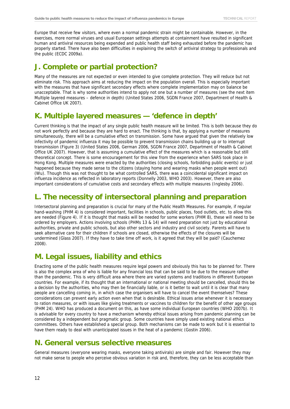Europe that receive few visitors, where even a normal pandemic strain might be containable. However, in the exercises, more normal viruses and usual European settings attempts at containment have resulted in significant human and antiviral resources being expended and public health staff being exhausted before the pandemic has properly started. There have also been difficulties in explaining the switch of antiviral strategy to professionals and the public (ECDC 2009a).

# <span id="page-16-0"></span>**J. Complete or partial protection?**

Many of the measures are not expected or even intended to give complete protection. They will reduce but not eliminate risk. This approach aims at reducing the impact on the population overall. This is especially important with the measures that have significant secondary effects where complete implementation may on balance be unacceptable. That is why some authorities intend to apply not one but a number of measures (see the next item Multiple layered measures – defence in depth) (United States 2006, SGDN France 2007, Department of Health & Cabinet Office UK 2007).

# <span id="page-16-1"></span>**K. Multiple layered measures — 'defence in depth'**

Current thinking is that the impact of any single public health measure will be limited. This is both because they do not work perfectly and because they are hard to enact. The thinking is that, by applying a number of measures simultaneously, there will be a cumulative effect on transmission. Some have argued that given the relatively low infectivity of pandemic influenza it may be possible to prevent transmission chains building up or to interrupt transmission (Figure 3) (United States 2006, German 2006, SGDN France 2007, Department of Health & Cabinet Office UK 2007). However, that is assuming a cumulative effect of the measures which is a reasonable but still theoretical concept. There is some encouragement for this view from the experience when SARS took place in Hong Kong. Multiple measures were enacted by the authorities (closing schools, forbidding public events) or just happened because they made sense to the citizens (staying home and wearing masks when people went out) (Wu). Though this was not thought to be what controlled SARS, there was a coincidental significant impact on influenza incidence as reflected in laboratory reports (Donnelly 2003, WHO 2003). However, there are also important considerations of cumulative costs and secondary effects with multiple measures (Inglesby 2006).

# <span id="page-16-2"></span>**L. The necessity of intersectoral planning and preparation**

Intersectoral planning and preparation is crucial for many of the Public Health Measures. For example, if regular hand-washing (PHM 4) is considered important, facilities in schools, public places, food outlets, etc. to allow this are needed (Figure 4). If it is thought that masks will be needed for some workers (PHM 8), these will need to be ordered by employers. Actions involving schools (PHMs 13 & 14) will need preparation not just by educational authorities, private and public schools, but also other sectors and industry and civil society. Parents will have to seek alternative care for their children if schools are closed, otherwise the effects of the closures will be undermined (Glass 2007). If they have to take time off work, is it agreed that they will be paid? (Cauchemez 2008).

# <span id="page-16-3"></span>**M. Legal issues, liability and ethics**

Enacting some of the public health measures require legal powers and obviously this has to be planned for. There is also the complex area of who is liable for any financial loss that can be said to be due to the measure rather than the pandemic. This is very difficult area where there are varied systems and traditions in different European countries. For example, if its thought that an international or national meeting should be cancelled, should this be a decision by the authorities, who may then be financially liable, or is it better to wait until it is clear that many people are cancelling coming in, in which case the organisers will have to cancel the event themselves? These considerations can prevent early action even when that is desirable. Ethical issues arise whenever it is necessary to ration measures, or with issues like giving treatments or vaccines to children for the benefit of other age groups (PHM 24). WHO has produced a document on this, as have some individual European countries (WHO 2007b). It is advisable for every country to have a mechanism whereby ethical issues arising from pandemic planning can be considered by a independent but pragmatic group. Some countries have simply used existing national ethics committees. Others have established a special group. Both mechanisms can be made to work but it is essential to have them ready to deal with unanticipated issues in the heat of a pandemic (Gostin 2006).

# <span id="page-16-4"></span>**N. General versus selective measures**

General measures (everyone wearing masks, everyone taking antivirals) are simple and fair. However they may not make sense to people who perceive obvious variation in risk and, therefore, they can be less acceptable than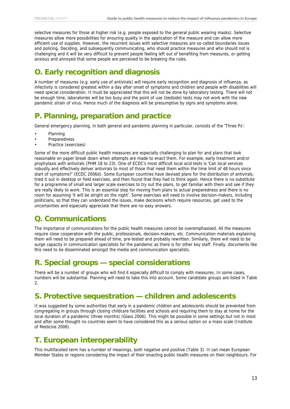selective measures for those at higher risk (e.g. people exposed to the general public wearing masks). Selective measures allow more possibilities for ensuring quality in the application of the measure and can allow more efficient use of supplies. However, the recurrent issues with selective measures are so-called boundaries issues and policing. Deciding, and subsequently communicating, who should practice measures and who should not is challenging and it will be very difficult to prevent people feeling left out of benefiting from measures, or getting anxious and annoyed that some people are perceived to be breaking the rules.

# <span id="page-17-0"></span>**O. Early recognition and diagnosis**

A number of measures (e.g. early use of antivirals) will require early recognition and diagnosis of influenza, as infectivity is considered greatest within a day after onset of symptoms and children and people with disabilities will need special consideration. It must be appreciated that this will not be done by laboratory testing. There will not be enough time, laboratories will be too busy and the point of use (bedside) tests may not work with the new pandemic strain of virus. Hence much of the diagnosis will be presumptive by signs and symptoms alone.

# <span id="page-17-1"></span>**P. Planning, preparation and practice**

General emergency planning, in both general and pandemic planning in particular, consists of the 'Three Ps':

- Planning
- **Preparedness**
- Practice (exercises)

Some of the more difficult public health measures are especially challenging to plan for and plans that look reasonable on paper break down when attempts are made to enact them. For example, early treatment and/or prophylaxis with antivirals (PHM 18 to 23). One of ECDC's most difficult local acid tests is 'Can local services robustly and effectively deliver antivirals to most of those that need them within the time limit of 48 hours since start of symptoms?' (ECDC 2006d). Some European countries have devised plans for the distribution of antivirals, tried it out in desktop or field exercises, and then found that they had to think again. Hence there is no substitute for a programme of small and larger scale exercises to try out the plans, to get familiar with them and see if they are really likely to work. This is an essential step for moving from plans to actual preparedness and there is no room for assuming 'it will be alright on the night'. Some exercises will need to involve decision-makers, including politicians, so that they can understand the issues, make decisions which require resources, get used to the uncertainties and especially appreciate that there are no easy answers.

# <span id="page-17-2"></span>**Q. Communications**

The importance of communications for the public health measures cannot be overemphasised. All the measures require close cooperation with the public, professionals, decision-makers, etc. Communication materials explaining them will need to be prepared ahead of time, pre-tested and probably rewritten. Similarly, there will need to be surge capacity in communication specialists for the pandemic as there is for other key staff. Finally, documents like this need to be disseminated amongst the media and communication specialists.

# <span id="page-17-3"></span>**R. Special groups — special considerations**

There will be a number of groups who will find it especially difficult to comply with measures. In some cases, numbers will be substantial. Planning will need to take this into account. Some candidate groups are listed in Table  $\mathcal{L}$ 

# <span id="page-17-4"></span>**S. Protective sequestration — children and adolescents**

It was suggested by some authorities that early in a pandemic children and adolescents should be prevented from congregating in groups through closing childcare facilities and schools and requiring them to stay at home for the local duration of a pandemic (three months) (Glass 2006). This might be possible in some settings but not in most and after some thought no countries seem to have considered this as a serious option on a mass scale (Institute of Medicine 2006).

# <span id="page-17-5"></span>**T. European interoperability**

This multifaceted term has a number of meanings, both negative and positive (Table 3). It can mean European Member States or regions considering the impact of their enacting public health measures on their neighbours. For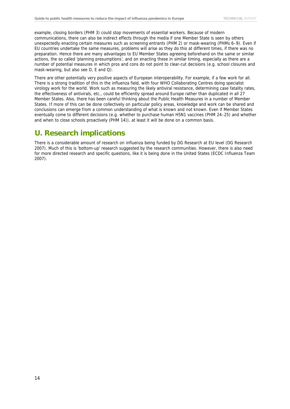example, closing borders (PHM 3) could stop movements of essential workers. Because of modern communications, there can also be indirect effects through the media if one Member State is seen by others unexpectedly enacting certain measures such as screening entrants (PHM 2) or mask-wearing (PHMs 6–9). Even if EU countries undertake the same measures, problems will arise as they do this at different times, if there was no preparation. Hence there are many advantages to EU Member States agreeing beforehand on the same or similar actions, the so called 'planning presumptions', and on enacting these in similar timing, especially as there are a number of potential measures in which pros and cons do not point to clear-cut decisions (e.g. school closures and mask-wearing, but also see D, E and Q).

There are other potentially very positive aspects of European interoperability. For example, if a few work for all. There is a strong tradition of this in the influenza field, with four WHO Collaborating Centres doing specialist virology work for the world. Work such as measuring the likely antiviral resistance, determining case fatality rates, the effectiveness of antivirals, etc., could be efficiently spread around Europe rather than duplicated in all 27 Member States. Also, there has been careful thinking about the Public Health Measures in a number of Member States. If more of this can be done collectively on particular policy areas, knowledge and work can be shared and conclusions can emerge from a common understanding of what is known and not known. Even if Member States eventually come to different decisions (e.g. whether to purchase human H5N1 vaccines (PHM 24–25) and whether and when to close schools proactively (PHM 14)), at least it will be done on a common basis.

# <span id="page-18-0"></span>**U. Research implications**

There is a considerable amount of research on influenza being funded by DG Research at EU level (DG Research 2007). Much of this is 'bottom-up' research suggested by the research communities. However, there is also need for more directed research and specific questions, like it is being done in the United States (ECDC Influenza Team 2007).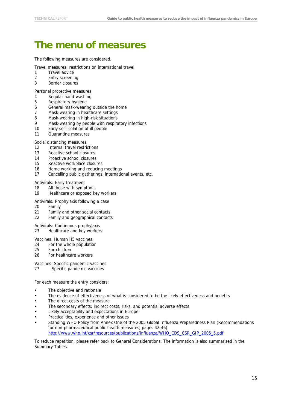# <span id="page-19-0"></span>**The menu of measures**

The following measures are considered.

- Travel measures: restrictions on international travel
- 1 Travel advice
- 2 Entry screening
- 3 Border closures

Personal protective measures

- 4 Regular hand-washing
- 5 Respiratory hygiene
- 6 General mask-wearing outside the home
- 7 Mask-wearing in healthcare settings
- 8 Mask-wearing in high-risk situations
- 9 Mask-wearing by people with respiratory infections
- 10 Early self-isolation of ill people
- 11 Quarantine measures

#### Social distancing measures

- 12 Internal travel restrictions
- 13 Reactive school closures
- 14 Proactive school closures
- 15 Reactive workplace closures
- 16 Home working and reducing meetings
- 17 Cancelling public gatherings, international events, etc.

#### Antivirals: Early treatment

- 18 All those with symptoms
- 19 Healthcare or exposed key workers

#### Antivirals: Prophylaxis following a case

- 20 Family<br>21 Family
- Family and other social contacts
- 22 Family and geographical contacts

Antivirals: Continuous prophylaxis

23 Healthcare and key workers

Vaccines: Human H5 vaccines:

- 24 For the whole population
- 25 For children
- 26 For healthcare workers
- Vaccines: Specific pandemic vaccines
- 27 Specific pandemic vaccines

For each measure the entry considers:

- The objective and rationale
- The evidence of effectiveness or what is considered to be the likely effectiveness and benefits
- The direct costs of the measure
- The secondary effects: indirect costs, risks, and potential adverse effects
- Likely acceptability and expectations in Europe
- Practicalities, experience and other issues
- Standing WHO Policy from Annex One of the 2005 Global Influenza Preparedness Plan (Recommendations for non-pharmaceutical public health measures, pages 42-46) http://www.who.int/csr/resources/publications/influenza/WHO\_CDS\_CSR\_GIP\_2005\_5.pdf

To reduce repetition, please refer back to General Considerations. The information is also summarised in the Summary Tables.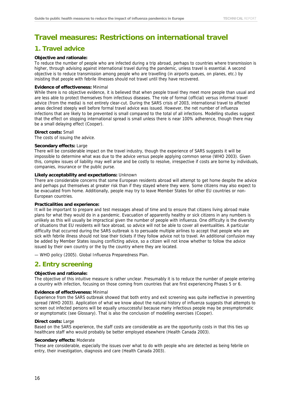# <span id="page-20-0"></span>**Travel measures: Restrictions on international travel**

### <span id="page-20-1"></span>**1. Travel advice**

#### **Objective and rationale:**

To reduce the number of people who are infected during a trip abroad, perhaps to countries where transmission is higher, through advising against international travel during the pandemic, unless travel is essential. A second objective is to reduce transmission among people who are travelling (in airports queues, on planes, etc.) by insisting that people with febrile illnesses should not travel until they have recovered.

#### **Evidence of effectiveness:** Minimal

While there is no objective evidence, it is believed that when people travel they meet more people than usual and are less able to protect themselves from infectious diseases. The role of formal (official) versus informal travel advice (from the media) is not entirely clear-cut. During the SARS crisis of 2003, international travel to affected areas declined steeply well before formal travel advice was issued. However, the net number of influenza infections that are likely to be prevented is small compared to the total of all infections. Modelling studies suggest that the effect on stopping international spread is small unless there is near 100% adherence, though there may be a small delaying effect (Cooper).

#### **Direct costs:** Small

The costs of issuing the advice.

#### **Secondary effects:** Large

There will be considerable impact on the travel industry, though the experience of SARS suggests it will be impossible to determine what was due to the advice versus people applying common sense (WHO 2003). Given this, complex issues of liability may well arise and be costly to resolve, irrespective if costs are borne by individuals, companies, insurance or the public purse.

#### **Likely acceptability and expectations:** Unknown

There are considerable concerns that some European residents abroad will attempt to get home despite the advice and perhaps put themselves at greater risk than if they stayed where they were. Some citizens may also expect to be evacuated from home. Additionally, people may try to leave Member States for other EU countries or non-European countries.

#### **Practicalities and experience:**

It will be important to prepare and test messages ahead of time and to ensure that citizens living abroad make plans for what they would do in a pandemic. Evacuation of apparently healthy or sick citizens in any numbers is unlikely as this will usually be impractical given the number of people with influenza. One difficulty is the diversity of situations that EU residents will face abroad, so advice will not be able to cover all eventualities. A particular difficulty that occurred during the SARS outbreak is to persuade multiple airlines to accept that people who are sick with febrile illness should not lose their tickets if they follow advice not to travel. An additional confusion may be added by Member States issuing conflicting advice, so a citizen will not know whether to follow the advice issued by their own country or the by the country where they are located.

— WHO policy (2005). Global Influenza Preparedness Plan.

### <span id="page-20-2"></span>**2. Entry screening**

#### **Objective and rationale:**

The objective of this intuitive measure is rather unclear. Presumably it is to reduce the number of people entering a country with infection, focusing on those coming from countries that are first experiencing Phases 5 or 6.

#### **Evidence of effectiveness:** Minimal

Experience from the SARS outbreak showed that both entry and exit screening was quite ineffective in preventing spread (WHO 2003). Application of what we know about the natural history of influenza suggests that attempts to screen out infected persons will be equally unsuccessful because many infectious people may be presymptomatic or asymptomatic (see Glossary). That is also the conclusion of modelling exercises (Cooper).

#### **Direct costs:** Large

Based on the SARS experience, the staff costs are considerable as are the opportunity costs in that this ties up healthcare staff who would probably be better employed elsewhere (Health Canada 2003).

#### **Secondary effects:** Moderate

These are considerable, especially the issues over what to do with people who are detected as being febrile on entry, their investigation, diagnosis and care (Health Canada 2003).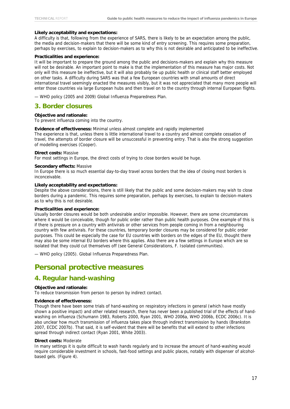#### **Likely acceptability and expectations:**

A difficulty is that, following from the experience of SARS, there is likely to be an expectation among the public, the media and decision-makers that there will be some kind of entry screening. This requires some preparation, perhaps by exercises, to explain to decision-makers as to why this is not desirable and anticipated to be ineffective.

#### **Practicalities and experience:**

It will be important to prepare the ground among the public and decisions-makers and explain why this measure will not be desirable. An important point to make is that the implementation of this measure has major costs. Not only will this measure be ineffective, but it will also probably tie up public health or clinical staff better employed on other tasks. A difficulty during SARS was that a few European countries with small amounts of direct international travel seemingly enacted the measures visibly, but it was not appreciated that many more people will enter those countries via large European hubs and then travel on to the country through internal European flights.

— WHO policy (2005 and 2009) Global Influenza Preparedness Plan.

### <span id="page-21-0"></span>**3. Border closures**

#### **Objective and rationale:**

To prevent influenza coming into the country.

#### **Evidence of effectiveness:** Minimal unless almost complete and rapidly implemented

The experience is that, unless there is little international travel to a country and almost complete cessation of travel, the attempts of border closure will be unsuccessful in preventing entry. That is also the strong suggestion of modelling exercises (Cooper).

#### **Direct costs:** Massive

For most settings in Europe, the direct costs of trying to close borders would be huge.

#### **Secondary effects:** Massive

In Europe there is so much essential day-to-day travel across borders that the idea of closing most borders is inconceivable.

#### **Likely acceptability and expectations:**

Despite the above considerations, there is still likely that the public and some decision-makers may wish to close borders during a pandemic. This requires some preparation, perhaps by exercises, to explain to decision-makers as to why this is not desirable.

#### **Practicalities and experience:**

Usually border closures would be both undesirable and/or impossible. However, there are some circumstances where it would be conceivable, though for public order rather than public health purposes. One example of this is if there is pressure on a country with antivirals or other services from people coming in from a neighbouring country with few antivirals. For these countries, temporary border closures may be considered for public order purposes. This could be especially the case for EU countries with borders on the edges of the EU, thought there may also be some internal EU borders where this applies. Also there are a few settings in Europe which are so isolated that they could cut themselves off (see General Considerations, F. Isolated communities).

— WHO policy (2005). Global Influenza Preparedness Plan.

### <span id="page-21-1"></span>**Personal protective measures**

### <span id="page-21-2"></span>**4. Regular hand-washing**

#### **Objective and rationale:**

To reduce transmission from person to person by indirect contact.

#### **Evidence of effectiveness:**

Though there have been some trials of hand-washing on respiratory infections in general (which have mostly shown a positive impact) and other related research, there has never been a published trial of the effects of handwashing on influenza (Schumann 1983, Roberts 2000, Ryan 2001, WHO 2006a, WHO 2006b, ECDC 2006c). It is also unclear how much transmission of influenza takes place through indirect transmission by hands (Brankston 2007, ECDC 2007b). That said, it is self-evident that there will be benefits that will extend to other infections spread through indirect contact (Ryan 2001, White 2003).

#### **Direct costs:** Moderate

In many settings it is quite difficult to wash hands regularly and to increase the amount of hand-washing would require considerable investment in schools, fast-food settings and public places, notably with dispenser of alcoholbased gels. (Figure 4).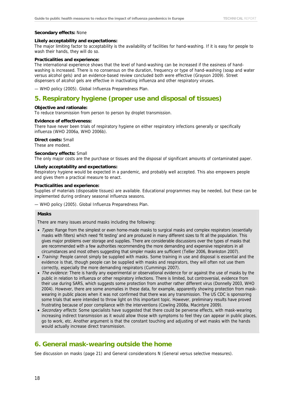#### **Secondary effects:** None

#### **Likely acceptability and expectations:**

The major limiting factor to acceptability is the availability of facilities for hand-washing. If it is easy for people to wash their hands, they will do so.

#### **Practicalities and experience:**

The international experience shows that the level of hand-washing can be increased if the easiness of handwashing is increased. There is no consensus on the duration, frequency or type of hand-washing (soap and water versus alcohol gels) and an evidence-based review concluded both were effective (Grayson 2009). Street dispensers of alcohol gels are effective in inactivating influenza and other respiratory viruses.

— WHO policy (2005). Global Influenza Preparedness Plan.

### <span id="page-22-0"></span>**5. Respiratory hygiene (proper use and disposal of tissues)**

#### **Objective and rationale:**

To reduce transmission from person to person by droplet transmission.

#### **Evidence of effectiveness:**

There have never been trials of respiratory hygiene on either respiratory infections generally or specifically influenza (WHO 2006a, WHO 2006b).

#### **Direct costs:** Small

These are modest.

#### **Secondary effects:** Small

The only major costs are the purchase or tissues and the disposal of significant amounts of contaminated paper.

#### **Likely acceptability and expectations:**

Respiratory hygiene would be expected in a pandemic, and probably well accepted. This also empowers people and gives them a practical measure to enact.

#### **Practicalities and experience:**

Supplies of materials (disposable tissues) are available. Educational programmes may be needed, but these can be implemented during ordinary seasonal influenza seasons.

— WHO policy (2005). Global Influenza Preparedness Plan.

#### **Masks**

There are many issues around masks including the following:

- Types: Range from the simplest or even home-made masks to surgical masks and complex respirators (essentially masks with filters) which need 'fit testing' and are produced in many different sizes to fit all the population. This gives major problems over storage and supplies. There are considerable discussions over the types of masks that are recommended with a few authorities recommending the more demanding and expensive respirators in all circumstances and most others suggesting that simpler masks are sufficient (Tellier 2006, Brankston 2007).
- Training: People cannot simply be supplied with masks. Some training in use and disposal is essential and the evidence is that, though people can be supplied with masks and respirators, they will often not use them correctly, especially the more demanding respirators (Cummings 2007).
- The evidence: There is hardly any experimental or observational evidence for or against the use of masks by the public in relation to influenza or other respiratory infections. There is limited, but controversial, evidence from their use during SARS, which suggests some protection from another rather different virus (Donnelly 2003, WHO 2004). However, there are some anomalies in these data, for example, apparently showing protection from maskwearing in public places when it was not confirmed that there was any transmission. The US CDC is sponsoring some trials that were intended to throw light on this important topic. However, preliminary results have proved frustrating because of poor compliance with the interventions (Cowling 2008a, Macintyre 2009).
- Secondary effects: Some specialists have suggested that there could be perverse effects, with mask-wearing increasing indirect transmission as it would allow those with symptoms to feel they can appear in public places, go to work, etc. Another argument is that the constant touching and adjusting of wet masks with the hands would actually increase direct transmission.

### <span id="page-22-1"></span>**6. General mask-wearing outside the home**

See discussion on masks (page 21) and General considerations N (General versus selective measures).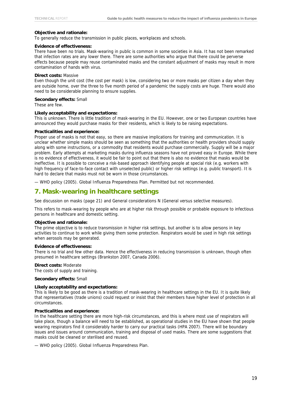#### **Objective and rationale:**

To generally reduce the transmission in public places, workplaces and schools.

#### **Evidence of effectiveness:**

There have been no trials. Mask-wearing in public is common in some societies in Asia. It has not been remarked that infection rates are any lower there. There are some authorities who argue that there could be perverse effects because people may reuse contaminated masks and the constant adjustment of masks may result in more contamination of hands with virus.

#### **Direct costs:** Massive

Even though the unit cost (the cost per mask) is low, considering two or more masks per citizen a day when they are outside home, over the three to five month period of a pandemic the supply costs are huge. There would also need to be considerable planning to ensure supplies.

#### **Secondary effects:** Small

These are few.

#### **Likely acceptability and expectations:**

This is unknown. There is little tradition of mask-wearing in the EU. However, one or two European countries have announced they would purchase masks for their residents, which is likely to be raising expectations.

#### **Practicalities and experience:**

Proper use of masks is not that easy, so there are massive implications for training and communication. It is unclear whether simple masks should be seen as something that the authorities or health providers should supply along with some instructions, or a commodity that residents would purchase commercially. Supply will be a major problem. Early attempts at marketing masks during influenza seasons have not proved easy in Europe. While there is no evidence of effectiveness, it would be fair to point out that there is also no evidence that masks would be ineffective. It is possible to conceive a risk-based approach identifying people at special risk (e.g. workers with high frequency of face-to-face contact with unselected public) or higher risk settings (e.g. public transport). It is hard to declare that masks must not be worn in those circumstances.

— WHO policy (2005). Global Influenza Preparedness Plan. Permitted but not recommended.

### <span id="page-23-0"></span>**7. Mask-wearing in healthcare settings**

See discussion on masks (page 21) and General considerations N (General versus selective measures).

This refers to mask-wearing by people who are at higher risk through possible or probable exposure to infectious persons in healthcare and domestic setting.

#### **Objective and rationale:**

The prime objective is to reduce transmission in higher risk settings, but another is to allow persons in key activities to continue to work while giving them some protection. Respirators would be used in high risk settings when aerosols may be generated.

#### **Evidence of effectiveness:**

There is no trial and few other data. Hence the effectiveness in reducing transmission is unknown, though often presumed in healthcare settings (Brankston 2007, Canada 2006).

#### **Direct costs:** Moderate

The costs of supply and training.

#### **Secondary effects:** Small

#### **Likely acceptability and expectations:**

This is likely to be good as there is a tradition of mask-wearing in healthcare settings in the EU. It is quite likely that representatives (trade unions) could request or insist that their members have higher level of protection in all circumstances.

#### **Practicalities and experience:**

In the healthcare setting there are more high-risk circumstances, and this is where most use of respirators will take place, though a balance will need to be established, as operational studies in the EU have shown that people wearing respirators find it considerably harder to carry our practical tasks (HPA 2007). There will be boundary issues and issues around communication, training and disposal of used masks. There are some suggestions that masks could be cleaned or sterilised and reused.

— WHO policy (2005). Global Influenza Preparedness Plan.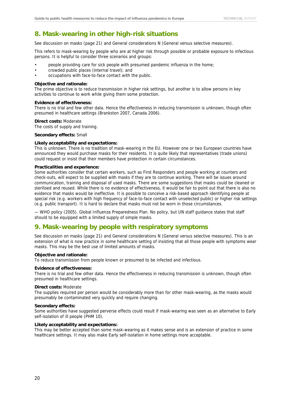### <span id="page-24-0"></span>**8. Mask-wearing in other high-risk situations**

See discussion on masks (page 21) and General considerations N (General versus selective measures).

This refers to mask-wearing by people who are at higher risk through possible or probable exposure to infectious persons. It is helpful to consider three scenarios and groups:

- people providing care for sick people with presumed pandemic influenza in the home;
- crowded public places (internal travel); and
- occupations with face-to-face contact with the public.

#### **Objective and rationale:**

The prime objective is to reduce transmission in higher risk settings, but another is to allow persons in key activities to continue to work while giving them some protection.

#### **Evidence of effectiveness:**

There is no trial and few other data. Hence the effectiveness in reducing transmission is unknown, though often presumed in healthcare settings (Brankston 2007, Canada 2006).

#### **Direct costs:** Moderate

The costs of supply and training.

#### **Secondary effects:** Small

#### **Likely acceptability and expectations:**

This is unknown. There is no tradition of mask-wearing in the EU. However one or two European countries have announced they would purchase masks for their residents. It is quite likely that representatives (trade unions) could request or insist that their members have protection in certain circumstances.

#### **Practicalities and experience:**

Some authorities consider that certain workers, such as First Responders and people working at counters and check-outs, will expect to be supplied with masks if they are to continue working. There will be issues around communication, training and disposal of used masks. There are some suggestions that masks could be cleaned or sterilised and reused. While there is no evidence of effectiveness, it would be fair to point out that there is also no evidence that masks would be ineffective. It is possible to conceive a risk-based approach identifying people at special risk (e.g. workers with high frequency of face-to-face contact with unselected public) or higher risk settings (e.g. public transport). It is hard to declare that masks must not be worn in those circumstances.

— WHO policy (2005). Global Influenza Preparedness Plan. No policy, but UN staff guidance states that staff should to be equipped with a limited supply of simple masks.

### <span id="page-24-1"></span>**9. Mask-wearing by people with respiratory symptoms**

See discussion on masks (page 21) and General considerations N (General versus selective measures). This is an extension of what is now practice in some healthcare setting of insisting that all those people with symptoms wear masks. This may be the best use of limited amounts of masks.

#### **Objective and rationale:**

To reduce transmission from people known or presumed to be infected and infectious.

#### **Evidence of effectiveness:**

There is no trial and few other data. Hence the effectiveness in reducing transmission is unknown, though often presumed in healthcare settings.

#### **Direct costs:** Moderate

The supplies required per person would be considerably more than for other mask-wearing, as the masks would presumably be contaminated very quickly and require changing.

#### **Secondary effects:**

Some authorities have suggested perverse effects could result if mask-wearing was seen as an alternative to Early self-isolation of ill people (PHM 10).

#### **Likely acceptability and expectations:**

This may be better accepted than some mask-wearing as it makes sense and is an extension of practice in some healthcare settings. It may also make Early self-isolation in home settings more acceptable.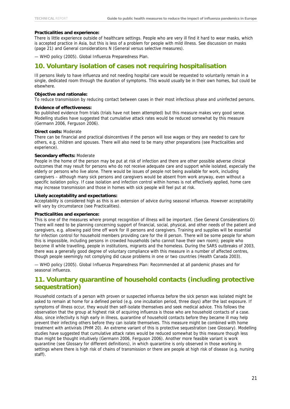#### **Practicalities and experience:**

There is little experience outside of healthcare settings. People who are very ill find it hard to wear masks, which is accepted practice in Asia, but this is less of a problem for people with mild illness. See discussion on masks (page 21) and General considerations N (General versus selective measures).

— WHO policy (2005). Global Influenza Preparedness Plan.

### <span id="page-25-0"></span>**10. Voluntary isolation of cases not requiring hospitalisation**

Ill persons likely to have influenza and not needing hospital care would be requested to voluntarily remain in a single, dedicated room through the duration of symptoms. This would usually be in their own homes, but could be elsewhere.

#### **Objective and rationale:**

To reduce transmission by reducing contact between cases in their most infectious phase and uninfected persons.

#### **Evidence of effectiveness:**

No published evidence from trials (trials have not been attempted) but this measure makes very good sense. Modelling studies have suggested that cumulative attack rates would be reduced somewhat by this measure (Germann 2006, Ferguson 2006).

#### **Direct costs:** Moderate

There can be financial and practical disincentives if the person will lose wages or they are needed to care for others, e.g. children and spouses. There will also need to be many other preparations (see Practicalities and experience).

#### **Secondary effects:** Moderate

People in the home of the person may be put at risk of infection and there are other possible adverse clinical outcomes that may result for persons who do not receive adequate care and support while isolated, especially the elderly or persons who live alone. There would be issues of people not being available for work, including caregivers – although many sick persons and caregivers would be absent from work anyway, even without a specific isolation policy. If case isolation and infection control within homes is not effectively applied, home care may increase transmission and those in homes with sick people will feel put at risk.

#### **Likely acceptability and expectations:**

Acceptability is considered high as this is an extension of advice during seasonal influenza. However acceptability will vary by circumstance (see Practicalities).

#### **Practicalities and experience:**

This is one of the measures where prompt recognition of illness will be important. (See General Considerations O) There will need to be planning concerning support of financial, social, physical, and other needs of the patient and caregivers, e.g. allowing paid time off work for ill persons and caregivers. Training and supplies will be essential for infection control for household members providing care for the ill person. There will be some people for whom this is impossible, including persons in crowded households (who cannot have their own room); people who become ill while travelling, people in institutions, migrants and the homeless. During the SARS outbreaks of 2003, there was a generally good degree of voluntary compliance with this measure in a number of affected centres, though people seemingly not complying did cause problems in one or two countries (Health Canada 2003).

— WHO policy (2005). Global Influenza Preparedness Plan: Recommended at all pandemic phases and for seasonal influenza.

### <span id="page-25-1"></span>**11. Voluntary quarantine of household contacts (including protective sequestration)**

Household contacts of a person with proven or suspected influenza before the sick person was isolated might be asked to remain at home for a defined period (e.g. one incubation period, three days) after the last exposure. If symptoms of illness occur, they would then self-isolate themselves and seek medical advice. This follows the observation that the group at highest risk of acquiring influenza is those who are household contacts of a case. Also, since infectivity is high early in illness, quarantine of household contacts before they became ill may help prevent their infecting others before they can isolate themselves. This measure might be combined with home treatment with antivirals (PHM 20). An extreme variant of this is protective sequestration (see Glossary). Modelling studies have suggested that cumulative attack rates would be reduced somewhat by this measure though less than might be thought intuitively (Germann 2006, Ferguson 2006). Another more feasible variant is work quarantine (see Glossary for different definitions), in which quarantine is only observed in those working in settings where there is high risk of chains of transmission or there are people at high risk of disease (e.g. nursing staff).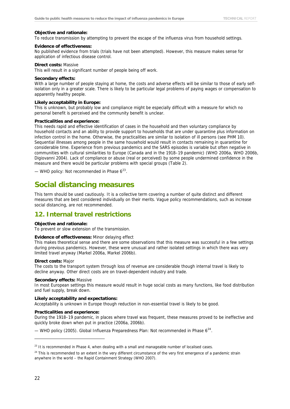#### **Objective and rationale:**

To reduce transmission by attempting to prevent the escape of the influenza virus from household settings.

#### **Evidence of effectiveness:**

No published evidence from trials (trials have not been attempted). However, this measure makes sense for application of infectious disease control.

#### **Direct costs:** Massive

This will result in a significant number of people being off work.

#### **Secondary effects:**

With a large number of people staying at home, the costs and adverse effects will be similar to those of early selfisolation only in a greater scale. There is likely to be particular legal problems of paying wages or compensation to apparently healthy people.

#### **Likely acceptability in Europe:**

This is unknown, but probably low and compliance might be especially difficult with a measure for which no personal benefit is perceived and the community benefit is unclear.

#### **Practicalities and experience:**

This needs rapid and effective identification of cases in the household and then voluntary compliance by household contacts and an ability to provide support to households that are under quarantine plus information on infection control in the home. Otherwise, the practicalities are similar to isolation of ill persons (see PHM 10). Sequential illnesses among people in the same household would result in contacts remaining in quarantine for considerable time. Experience from previous pandemics and the SARS episodes is variable but often negative in communities with cultural similarities to Europe (Canada and in the 1918–19 pandemic) (WHO 2006a, WHO 2006b, Digiovanni 2004). Lack of compliance or abuse (real or perceived) by some people undermined confidence in the measure and there would be particular problems with special groups (Table 2).

— WHO policy: Not recommended in Phase  $6^{23}$  $6^{23}$  $6^{23}$ .

# <span id="page-26-0"></span>**Social distancing measures**

This term should be used cautiously. It is a collective term covering a number of quite distinct and different measures that are best considered individually on their merits. Vague policy recommendations, such as increase social distancing, are not recommended.

### <span id="page-26-1"></span>**12. Internal travel restrictions**

#### **Objective and rationale:**

To prevent or slow extension of the transmission.

#### **Evidence of effectiveness:** Minor delaying effect

This makes theoretical sense and there are some observations that this measure was successful in a few settings during previous pandemics. However, these were unusual and rather isolated settings in which there was very limited travel anyway (Markel 2006a, Markel 2006b).

#### **Direct costs:** Major

The costs to the transport system through loss of revenue are considerable though internal travel is likely to decline anyway. Other direct costs are on travel-dependent industry and trade.

#### **Secondary effects:** Massive

In most European settings this measure would result in huge social costs as many functions, like food distribution and fuel supply, break down.

#### **Likely acceptability and expectations:**

Acceptability is unknown in Europe though reduction in non-essential travel is likely to be good.

#### **Practicalities and experience:**

During the 1918–19 pandemic, in places where travel was frequent, these measures proved to be ineffective and quickly broke down when put in practice (2006a, 2006b).

— WHO policy (2005). Global Influenza Preparedness Plan: Not recommended in Phase  $6^{24}$  $6^{24}$  $6^{24}$ .

<span id="page-26-2"></span> $23$  It is recommended in Phase 4, when dealing with a small and manageable number of localised cases.

<span id="page-26-3"></span><sup>&</sup>lt;sup>24</sup> This is recommended to an extent in the very different circumstance of the very first emergence of a pandemic strain anywhere in the world – the Rapid Containment Strategy (WHO 2007).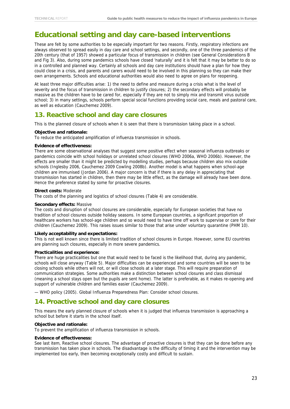# <span id="page-27-0"></span>**Educational setting and day care-based interventions**

These are felt by some authorities to be especially important for two reasons. Firstly, respiratory infections are always observed to spread easily in day care and school settings, and secondly, one of the three pandemics of the 20th century (that of 1957) showed a particular focus of transmission in children (see General Considerations B and Fig 3). Also, during some pandemics schools have closed 'naturally' and it is felt that it may be better to do so in a controlled and planned way. Certainly all schools and day care institutions should have a plan for how they could close in a crisis, and parents and carers would need to be involved in this planning so they can make their own arrangements. Schools and educational authorities would also need to agree on plans for reopening.

At least three major difficulties arise: 1) the need to define and measure during a crisis what is the level of severity and the focus of transmission in children to justify closures; 2) the secondary effects will probably be massive as the children have to be cared for, especially if they are not to simply mix and transmit virus outside school; 3) in many settings, schools perform special social functions providing social care, meals and pastoral care, as well as education (Cauchemez 2009).

### <span id="page-27-1"></span>**13. Reactive school and day care closures**

This is the planned closure of schools when it is seen that there is transmission taking place in a school.

#### **Objective and rationale:**

To reduce the anticipated amplification of influenza transmission in schools.

#### **Evidence of effectiveness:**

There are some observational analyses that suggest some positive effect when seasonal influenza outbreaks or pandemics coincide with school holidays or unrelated school closures (WHO 2006a, WHO 2006b). However, the effects are smaller than it might be predicted by modelling studies, perhaps because children also mix outside schools (Inglesby 2006, Cauchemez 2009 Cowling 2008b). Another model is what happens when school-age children are immunised (Jordan 2006). A major concern is that if there is any delay in appreciating that transmission has started in children, then there may be little effect, as the damage will already have been done. Hence the preference stated by some for proactive closures.

#### **Direct costs:** Moderate

The costs of the planning and logistics of school closures (Table 4) are considerable.

#### **Secondary effects:** Massive

The costs and disruption of school closures are considerable, especially for European societies that have no tradition of school closures outside holiday seasons. In some European countries, a significant proportion of healthcare workers has school-age children and so would need to have time off work to supervise or care for their children (Cauchemez 2009). This raises issues similar to those that arise under voluntary quarantine (PHM 10).

#### **Likely acceptability and expectations:**

This is not well known since there is limited tradition of school closures in Europe. However, some EU countries are planning such closures, especially in more severe pandemics.

#### **Practicalities and experience:**

There are huge practicalities but one that would need to be faced is the likelihood that, during any pandemic, schools will close anyway (Table 5). Major difficulties can be experienced and some countries will be seen to be closing schools while others will not, or will close schools at a later stage. This will require preparation of communication strategies. Some authorities make a distinction between school closures and class dismissal (meaning a school stays open but the pupils are sent home). The latter is preferable, as it makes re-opening and support of vulnerable children and families easier (Cauchemez 2009).

— WHO policy (2005). Global Influenza Preparedness Plan: Consider school closures.

### <span id="page-27-2"></span>**14. Proactive school and day care closures**

This means the early planned closure of schools when it is judged that influenza transmission is approaching a school but before it starts in the school itself.

#### **Objective and rationale:**

To prevent the amplification of influenza transmission in schools.

#### **Evidence of effectiveness:**

See last item, Reactive school closures. The advantage of proactive closures is that they can be done before any transmission has taken place in schools. The disadvantage is the difficulty of timing it and the intervention may be implemented too early, then becoming exceptionally costly and difficult to sustain.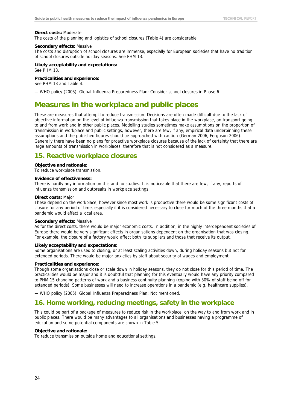#### **Direct costs:** Moderate

The costs of the planning and logistics of school closures (Table 4) are considerable.

#### **Secondary effects:** Massive

The costs and disruption of school closures are immense, especially for European societies that have no tradition of school closures outside holiday seasons. See PHM 13.

**Likely acceptability and expectations:**  See PHM 13.

**Practicalities and experience:** 

See PHM 13 and Table 4.

— WHO policy (2005). Global Influenza Preparedness Plan: Consider school closures in Phase 6.

# <span id="page-28-0"></span>**Measures in the workplace and public places**

These are measures that attempt to reduce transmission. Decisions are often made difficult due to the lack of objective information on the level of influenza transmission that takes place in the workplace, on transport going to and from work and in other public places. Modelling studies sometimes make assumptions on the proportion of transmission in workplace and public settings, however, there are few, if any, empirical data underpinning these assumptions and the published figures should be approached with caution (German 2006, Ferguson 2006). Generally there have been no plans for proactive workplace closures because of the lack of certainty that there are large amounts of transmission in workplaces, therefore that is not considered as a measure.

### <span id="page-28-1"></span>**15. Reactive workplace closures**

#### **Objective and rationale:**

To reduce workplace transmission.

#### **Evidence of effectiveness:**

There is hardly any information on this and no studies. It is noticeable that there are few, if any, reports of influenza transmission and outbreaks in workplace settings.

#### **Direct costs:** Major

These depend on the workplace, however since most work is productive there would be some significant costs of closure for any period of time, especially if it is considered necessary to close for much of the three months that a pandemic would affect a local area.

#### **Secondary effects:** Massive

As for the direct costs, there would be major economic costs. In addition, in the highly interdependent societies of Europe there would be very significant effects in organisations dependent on the organisation that was closing. For example, the closure of a factory would affect both its suppliers and those that receive its output.

#### **Likely acceptability and expectations:**

Some organisations are used to closing, or at least scaling activities down, during holiday seasons but not for extended periods. There would be major anxieties by staff about security of wages and employment.

#### **Practicalities and experience:**

Though some organisations close or scale down in holiday seasons, they do not close for this period of time. The practicalities would be major and it is doubtful that planning for this eventually would have any priority compared to PHM 15 changing patterns of work and a business continuity planning (coping with 30% of staff being off for extended periods). Some businesses will need to increase operations in a pandemic (e.g. healthcare supplies).

— WHO policy (2005). Global Influenza Preparedness Plan: Not mentioned.

### <span id="page-28-2"></span>**16. Home working, reducing meetings, safety in the workplace**

This could be part of a package of measures to reduce risk in the workplace, on the way to and from work and in public places. There would be many advantages to all organisations and businesses having a programme of education and some potential components are shown in Table 5.

#### **Objective and rationale:**

To reduce transmission outside home and educational settings.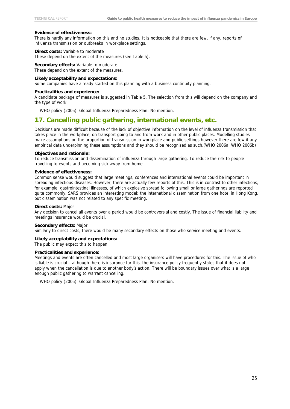#### **Evidence of effectiveness:**

There is hardly any information on this and no studies. It is noticeable that there are few, if any, reports of influenza transmission or outbreaks in workplace settings.

#### **Direct costs:** Variable to moderate These depend on the extent of the measures (see Table 5).

**Secondary effects:** Variable to moderate These depend on the extent of the measures.

#### **Likely acceptability and expectations:**

Some companies have already started on this planning with a business continuity planning.

#### **Practicalities and experience:**

A candidate package of measures is suggested in Table 5. The selection from this will depend on the company and the type of work.

— WHO policy (2005). Global Influenza Preparedness Plan: No mention.

### <span id="page-29-0"></span>**17. Cancelling public gathering, international events, etc.**

Decisions are made difficult because of the lack of objective information on the level of influenza transmission that takes place in the workplace, on transport going to and from work and in other public places. Modelling studies make assumptions on the proportion of transmission in workplace and public settings however there are few if any empirical data underpinning these assumptions and they should be recognised as such.(WHO 2006a, WHO 2006b)

#### **Objectives and rationale:**

To reduce transmission and dissemination of influenza through large gathering. To reduce the risk to people travelling to events and becoming sick away from home.

#### **Evidence of effectiveness:**

Common sense would suggest that large meetings, conferences and international events could be important in spreading infectious diseases. However, there are actually few reports of this. This is in contrast to other infections, for example, gastrointestinal illnesses, of which explosive spread following small or large gatherings are reported quite commonly. SARS provides an interesting model: the international dissemination from one hotel in Hong Kong, but dissemination was not related to any specific meeting.

#### **Direct costs:** Major

Any decision to cancel all events over a period would be controversial and costly. The issue of financial liability and meetings insurance would be crucial.

#### **Secondary effects:** Major

Similarly to direct costs, there would be many secondary effects on those who service meeting and events.

#### **Likely acceptability and expectations:**

The public may expect this to happen.

#### **Practicalities and experience:**

Meetings and events are often cancelled and most large organisers will have procedures for this. The issue of who is liable is crucial – although there is insurance for this, the insurance policy frequently states that it does not apply when the cancellation is due to another body's action. There will be boundary issues over what is a large enough public gathering to warrant cancelling.

— WHO policy (2005). Global Influenza Preparedness Plan: No mention.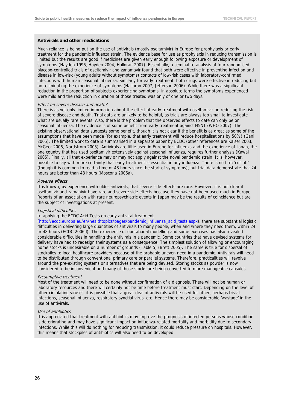#### **Antivirals and other medications**

Much reliance is being put on the use of antivirals (mostly oseltamivir) in Europe for prophylaxis or early treatment for the pandemic influenza strain. The evidence base for use as prophylaxis in reducing transmission is limited but the results are good if medicines are given early enough following exposure or development of symptoms (Hayden 1996, Hayden 2004, Halloran 2007). Essentially, a seminal re-analysis of four randomised placebo-controlled trials of oseltamivir and zanamavir found that both were effective in preventing infection and disease in low-risk (young adults without symptoms) contacts of low-risk cases with laboratory-confirmed infections with human seasonal influenza. Similarly for early treatment, both drugs were effective in reducing but not eliminating the experience of symptoms (Halloran 2007, Jefferson 2006). While there was a significant reduction in the proportion of subjects experiencing symptoms, in absolute terms the symptoms experienced were mild and the reduction in duration of those treated was only of one or two days.

#### Effect on severe disease and death?

There is as yet only limited information about the effect of early treatment with oseltamivir on reducing the risk of severe disease and death. Trial data are unlikely to be helpful, as trials are always too small to investigate what are usually rare events. Also, there is the problem that the observed effects to date can only be on seasonal influenza. The evidence is of some benefit from early treatment against H5N1 (WHO 2007). The existing observational data suggests some benefit, though it is not clear if the benefit is as great as some of the assumptions that have been made (for example, that early treatment will reduce hospitalisations by 50%) (Gani 2005). The limited work to date is summarised in a separate paper by ECDC (other references are Kaiser 2003, McGeer 2006, Nordstrom 2005). Antivirals are little used in Europe for influenza and the experience of Japan, the one country that has used oseltamivir extensively against seasonal influenza, requires further analysis (Kawai 2005). Finally, all that experience may or may not apply against the novel pandemic strain. It is, however, possible to say with more certainty that early treatment is essential in any influenza. There is no firm 'cut-off' (though it is common to read a time of 48 hours since the start of symptoms), but trial data demonstrate that 24 hours are better than 48 hours (Moscona 2006a).

#### Adverse effects

It is known, by experience with older antivirals, that severe side effects are rare. However, it is not clear if oseltamivir and zamanivir have rare and severe side effects because they have not been used much in Europe. Reports of an association with rare neuropsychiatric events in Japan may be the results of coincidence but are the subject of investigations at present.

#### Logistical difficulties

In applying the ECDC Acid Tests on early antiviral treatment

[\(http://ecdc.europa.eu/en/healthtopics/pages/pandemic\\_influenza\\_acid\\_tests.aspx\)](http://ecdc.europa.eu/en/healthtopics/pages/pandemic_influenza_acid_tests.aspx), there are substantial logistic difficulties in delivering large quantities of antivirals to many people, when and where they need them, within 24 or 48 hours (ECDC 2006d). The experience of operational modelling and some exercises has also revealed considerable difficulties in handling the antivirals in a pandemic. Some countries that have devised systems for delivery have had to redesign their systems as a consequence. The simplest solution of allowing or encouraging home stocks is undesirable on a number of grounds (Table 5) (Brett 2005). The same is true for dispersal of stockpiles to local healthcare providers because of the probable uneven need in a pandemic. Antivirals will need to be distributed through conventional primary care or parallel systems. Therefore, practicalities will revolve around the pre-existing systems or alternatives that are being devised. Storing stocks as powder is now considered to be inconvenient and many of those stocks are being converted to more manageable capsules.

#### Presumptive treatment

Most of the treatment will need to be done without confirmation of a diagnosis. There will not be human or laboratory resources and there will certainly not be time before treatment must start. Depending on the level of other circulating viruses, it is possible that a great deal of antivirals will be used for other, perhaps trivial, infections, seasonal influenza, respiratory synctial virus, etc. Hence there may be considerable 'wastage' in the use of antivirals.

#### Use of antibiotics

It is appreciated that treatment with antibiotics may improve the prognosis of infected persons whose condition is deteriorating and may have significant impact on influenza-related mortality and morbidity due to secondary infections. While this will do nothing for reducing transmission, it could reduce pressure on hospitals. However, this means that stockpiles of antibiotics will also need to be developed.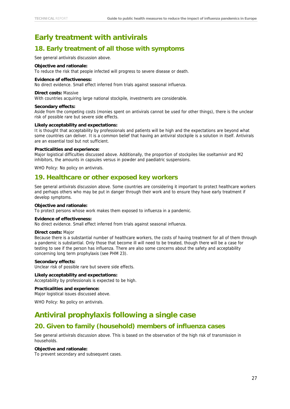# <span id="page-31-0"></span>**Early treatment with antivirals**

### <span id="page-31-1"></span>**18. Early treatment of all those with symptoms**

See general antivirals discussion above.

#### **Objective and rationale:**

To reduce the risk that people infected will progress to severe disease or death.

#### **Evidence of effectiveness:**

No direct evidence. Small effect inferred from trials against seasonal influenza.

#### **Direct costs:** Massive

With countries acquiring large national stockpile, investments are considerable.

#### **Secondary effects:**

Aside from the competing costs (monies spent on antivirals cannot be used for other things), there is the unclear risk of possible rare but severe side effects.

#### **Likely acceptability and expectations:**

It is thought that acceptability by professionals and patients will be high and the expectations are beyond what some countries can deliver. It is a common belief that having an antiviral stockpile is a solution in itself. Antivirals are an essential tool but not sufficient.

#### **Practicalities and experience:**

Major logistical difficulties discussed above. Additionally, the proportion of stockpiles like oseltamivir and M2 inhibitors, the amounts in capsules versus in powder and paediatric suspensions.

WHO Policy: No policy on antivirals.

### <span id="page-31-2"></span>**19. Healthcare or other exposed key workers**

See general antivirals discussion above. Some countries are considering it important to protect healthcare workers and perhaps others who may be put in danger through their work and to ensure they have early treatment if develop symptoms.

#### **Objective and rationale:**

To protect persons whose work makes them exposed to influenza in a pandemic.

#### **Evidence of effectiveness:**

No direct evidence. Small effect inferred from trials against seasonal influenza.

#### **Direct costs:** Major

Because there is a substantial number of healthcare workers, the costs of having treatment for all of them through a pandemic is substantial. Only those that become ill will need to be treated, though there will be a case for testing to see if the person has influenza. There are also some concerns about the safety and acceptability concerning long term prophylaxis (see PHM 23).

#### **Secondary effects:**

Unclear risk of possible rare but severe side effects.

### **Likely acceptability and expectations:**

Acceptability by professionals is expected to be high.

#### **Practicalities and experience:**

Major logistical issues discussed above.

WHO Policy: No policy on antivirals.

### <span id="page-31-3"></span>**Antiviral prophylaxis following a single case**

### <span id="page-31-4"></span>**20. Given to family (household) members of influenza cases**

See general antivirals discussion above. This is based on the observation of the high risk of transmission in households.

#### **Objective and rationale:**

To prevent secondary and subsequent cases.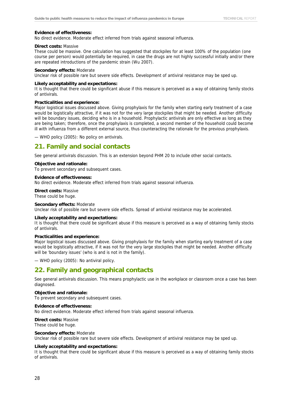#### **Evidence of effectiveness:**

No direct evidence. Moderate effect inferred from trials against seasonal influenza.

#### **Direct costs:** Massive

These could be massive. One calculation has suggested that stockpiles for at least 100% of the population (one course per person) would potentially be required, in case the drugs are not highly successful initially and/or there are repeated introductions of the pandemic strain (Wu 2007).

#### **Secondary effects:** Moderate

Unclear risk of possible rare but severe side effects. Development of antiviral resistance may be sped up.

#### **Likely acceptability and expectations:**

It is thought that there could be significant abuse if this measure is perceived as a way of obtaining family stocks of antivirals.

#### **Practicalities and experience:**

Major logistical issues discussed above. Giving prophylaxis for the family when starting early treatment of a case would be logistically attractive, if it was not for the very large stockpiles that might be needed. Another difficulty will be boundary issues, deciding who is in a household. Prophylactic antivirals are only effective as long as they are being taken; therefore, once the prophylaxis is completed, a second member of the household could become ill with influenza from a different external source, thus counteracting the rationale for the previous prophylaxis.

— WHO policy (2005): No policy on antivirals.

### <span id="page-32-0"></span>**21. Family and social contacts**

See general antivirals discussion. This is an extension beyond PHM 20 to include other social contacts.

#### **Objective and rationale:**

To prevent secondary and subsequent cases.

#### **Evidence of effectiveness:**

No direct evidence. Moderate effect inferred from trials against seasonal influenza.

**Direct costs:** Massive These could be huge.

#### **Secondary effects:** Moderate

Unclear risk of possible rare but severe side effects. Spread of antiviral resistance may be accelerated.

#### **Likely acceptability and expectations:**

It is thought that there could be significant abuse if this measure is perceived as a way of obtaining family stocks of antivirals.

#### **Practicalities and experience:**

Major logistical issues discussed above. Giving prophylaxis for the family when starting early treatment of a case would be logistically attractive, if it was not for the very large stockpiles that might be needed. Another difficulty will be 'boundary issues' (who is and is not in the family).

— WHO policy (2005): No antiviral policy.

### <span id="page-32-1"></span>**22. Family and geographical contacts**

See general antivirals discussion. This means prophylactic use in the workplace or classroom once a case has been diagnosed.

### **Objective and rationale:**

To prevent secondary and subsequent cases.

#### **Evidence of effectiveness:**

No direct evidence. Moderate effect inferred from trials against seasonal influenza.

### **Direct costs:** Massive

These could be huge.

#### **Secondary effects:** Moderate

Unclear risk of possible rare but severe side effects. Development of antiviral resistance may be sped up.

#### **Likely acceptability and expectations:**

It is thought that there could be significant abuse if this measure is perceived as a way of obtaining family stocks of antivirals.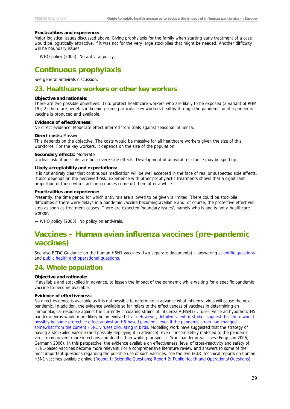#### **Practicalities and experience:**

Major logistical issues discussed above. Giving prophylaxis for the family when starting early treatment of a case would be logistically attractive, if it was not for the very large stockpiles that might be needed. Another difficulty will be boundary issues.

— WHO policy (2005): No antiviral policy.

# <span id="page-33-0"></span>**Continuous prophylaxis**

See general antivirals discussion.

### <span id="page-33-1"></span>**23. Healthcare workers or other key workers**

#### **Objective and rationale:**

There are two possible objectives: 1) to protect healthcare workers who are likely to be exposed (a variant of PHM 19); 2) there are benefits in keeping some particular key workers healthy through the pandemic until a pandemic vaccine is produced and available.

#### **Evidence of effectiveness:**

No direct evidence. Moderate effect inferred from trials against seasonal influenza.

#### **Direct costs:** Massive

This depends on the objective. The costs would be massive for all healthcare workers given the size of this workforce. For the key workers, it depends on the size of the population.

#### **Secondary effects:** Moderate

Unclear risk of possible rare but severe side effects. Development of antiviral resistance may be sped up.

#### **Likely acceptability and expectations:**

It is not entirely clear that continuous medication will be well accepted in the face of real or suspected side effects. It also depends on the perceived risk. Experience with other prophylactic treatments shows that a significant proportion of those who start long courses come off them after a while.

#### **Practicalities and experience:**

Presently, the time period for which antivirals are allowed to be given is limited. There could be stockpile difficulties if there were delays in a pandemic vaccine becoming available and, of course, the protective effect will stop as soon as treatment ceases. There are expected 'boundary issues', namely who is and is not a healthcare worker.

— WHO policy (2005): No policy on antivirals.

# <span id="page-33-2"></span>**Vaccines – Human avian influenza vaccines (pre-pandemic vaccines)**

See also ECDC Guidance on the human H5N1 vaccines (two separate documents) – answering [scientific questions](http://ecdc.europa.eu/documents/pdf/Sci%20Questions%20final.pdf) and [public health and operational](http://ecdc.europa.eu/documents/pdf/PH%20Questions%20final.pdf) questions.

### <span id="page-33-3"></span>**24. Whole population**

#### **Objective and rationale:**

If available and stockpiled in advance, to lessen the impact of the pandemic while waiting for a specific pandemic vaccine to become available.

#### **Evidence of effectiveness:**

No direct evidence is available as it is not possible to determine in advance what influenza virus will cause the next pandemic. In addition, the evidence available so far refers to the effectiveness of vaccines in determining an immunological response against the currently circulating strains of influenza A(H5N1) viruses, while an hypothetic H5 pandemic virus would more likely be an evolved strain. However, detailed scientific studies suggest that there would [possibly be some protective effect against an H5-based pandemic even if the pandemic strain had changed](http://ecdc.europa.eu/documents/pdf/Sci%20Questions%20final.pdf)  [somewhat from the current H5N1 viruses circulating in birds](http://ecdc.europa.eu/documents/pdf/Sci%20Questions%20final.pdf). Modelling work have suggested that the strategy of having a stockpiled vaccine (and possibly deploying it in advance), even if incompletely matched to the pandemic virus, may prevent more infections and deaths than waiting for specific 'true' pandemic vaccines (Ferguson 2006, Germann 2006). In this perspective, the evidence available on effectiveness, level of cross-reactivity and safety of H5N1-based vaccines become more relevant. For a comprehensive literature review and answers to some of the most important questions regarding the possible use of such vaccines, see the two ECDC technical reports on human H5N1 vaccines available online [\(Report 1: Scientific Questions](http://www.ecdc.europa.eu/pdf/Sci%20Questions%20final.pdf); [Report 2: Public Health and Operational Questions\)](http://www.ecdc.europa.eu/pdf/PH%20Questions%20final.pdf).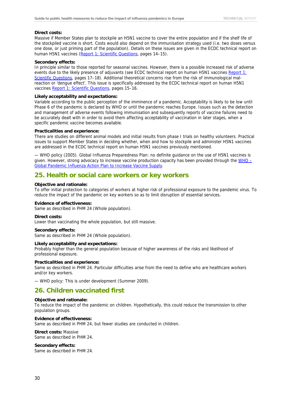#### **Direct costs:**

Massive if Member States plan to stockpile an H5N1 vaccine to cover the entire population and if the shelf life of the stockpiled vaccine is short. Costs would also depend on the immunisation strategy used (i.e. two doses versus one dose, or just priming part of the population). Details on these issues are given in the ECDC technical report on human H5N1 vaccines [\(Report 1; Scientific Questions,](http://www.ecdc.europa.eu/pdf/Sci%20Questions%20final.pdf) pages 14-15).

#### **Secondary effects:**

In principle similar to those reported for seasonal vaccines. However, there is a possible increased risk of adverse events due to the likely presence of adjuvants (see ECDC technical report on human H5N1 vaccines Report 1: Scientific Questions, pages 17–18). Additional theoretical concerns rise from the risk of immunological malreaction or 'dengue effect'. This issue is specifically addressed by the ECDC technical report on human H5N1 vaccines [Report 1: Scientific Questions](http://ecdc.europa.eu/documents/pdf/Sci%20Questions%20final.pdf), pages 15–16.

#### **Likely acceptability and expectations:**

Variable according to the public perception of the imminence of a pandemic. Acceptability is likely to be low until Phase 6 of the pandemic is declared by WHO or until the pandemic reaches Europe. Issues such as the detection and management of adverse events following immunisation and subsequently reports of vaccine failures need to be accurately dealt with in order to avoid them affecting acceptability of vaccination in later stages, when a specific pandemic vaccine becomes available.

#### **Practicalities and experience:**

There are studies on different animal models and initial results from phase I trials on healthy volunteers. Practical issues to support Member States in deciding whether, when and how to stockpile and administer H5N1 vaccines are addressed in the ECDC technical report on human H5N1 vaccines previously mentioned.

— WHO policy (2005). Global Influenza Preparedness Plan: no definite guidance on the use of H5N1 vaccines is given. However, strong advocacy to increase vaccine production capacity has been provided through the [WHO –](http://whqlibdoc.who.int/hq/2006/WHO_IVB_06.13_eng.pdf) [Global Pandemic Influenza Action Plan to Increase Vaccine Supply](http://whqlibdoc.who.int/hq/2006/WHO_IVB_06.13_eng.pdf).

### <span id="page-34-0"></span>**25. Health or social care workers or key workers**

#### **Objective and rationale:**

To offer initial protection to categories of workers at higher risk of professional exposure to the pandemic virus. To reduce the impact of the pandemic on key workers so as to limit disruption of essential services.

#### **Evidence of effectiveness:**

Same as described in PHM 24 (Whole population).

#### **Direct costs:**

Lower than vaccinating the whole population, but still massive.

#### **Secondary effects:**

Same as described in PHM 24 (Whole population).

#### **Likely acceptability and expectations:**

Probably higher than the general population because of higher awareness of the risks and likelihood of professional exposure.

#### **Practicalities and experience:**

Same as described in PHM 24. Particular difficulties arise from the need to define who are healthcare workers and/or key workers.

— WHO policy: This is under development (Summer 2009).

### <span id="page-34-1"></span>**26. Children vaccinated first**

#### **Objective and rationale:**

To reduce the impact of the pandemic on children. Hypothetically, this could reduce the transmission to other population groups.

#### **Evidence of effectiveness:**

Same as described in PHM 24, but fewer studies are conducted in children.

#### **Direct costs:** Massive

Same as described in PHM 24.

#### **Secondary effects:**

Same as described in PHM 24.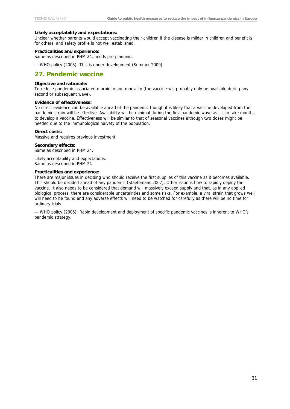#### **Likely acceptability and expectations:**

Unclear whether parents would accept vaccinating their children if the disease is milder in children and benefit is for others, and safety profile is not well established.

#### **Practicalities and experience:**

Same as described in PHM 24, needs pre-planning.

— WHO policy (2005): This is under development (Summer 2009).

### <span id="page-35-0"></span>**27. Pandemic vaccine**

#### **Objective and rationale:**

To reduce pandemic-associated morbidity and mortality (the vaccine will probably only be available during any second or subsequent wave).

#### **Evidence of effectiveness:**

No direct evidence can be available ahead of the pandemic though it is likely that a vaccine developed from the pandemic strain will be effective. Availability will be minimal during the first pandemic wave as it can take months to develop a vaccine. Effectiveness will be similar to that of seasonal vaccines although two doses might be needed due to the immunological naivety of the population.

#### **Direct costs:**

Massive and requires previous investment.

#### **Secondary effects:**

Same as described in PHM 24.

Likely acceptability and expectations: Same as described in PHM 24.

#### **Practicalities and experience:**

There are major issues in deciding who should receive the first supplies of this vaccine as it becomes available. This should be decided ahead of any pandemic (Staetemans 2007). Other issue is how to rapidly deploy the vaccine. It also needs to be considered that demand will massively exceed supply and that, as in any applied biological process, there are considerable uncertainties and some risks. For example, a viral strain that grows well will need to be found and any adverse effects will need to be watched for carefully as there will be no time for ordinary trials.

— WHO policy (2005): Rapid development and deployment of specific pandemic vaccines is inherent to WHO's pandemic strategy.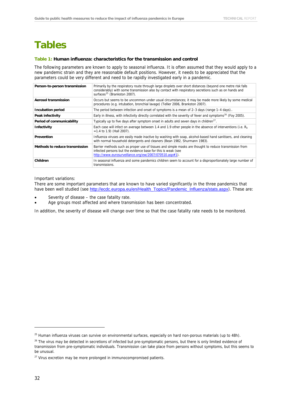# <span id="page-36-0"></span>**Tables**

#### **Table 1: Human influenza: characteristics for the transmission and control**

The following parameters are known to apply to seasonal influenza. It is often assumed that they would apply to a new pandemic strain and they are reasonable default positions. However, it needs to be appreciated that the parameters could be very different and need to be rapidly investigated early in a pandemic.

| Person-to-person transmission  | Primarily by the respiratory route through large droplets over short distances (beyond one metre risk falls<br>considerably) with some transmission also by contact with respiratory secretions such as on hands and<br>surfaces <sup>25</sup> (Brankston 2007). |
|--------------------------------|------------------------------------------------------------------------------------------------------------------------------------------------------------------------------------------------------------------------------------------------------------------|
| Aerosol transmission           | Occurs but seems to be uncommon under usual circumstances; it may be made more likely by some medical<br>procedures (e.g. intubation, bronchial lavage) (Tellier 2006, Brankston 2007).                                                                          |
| <b>Incubation period</b>       | The period between infection and onset of symptoms is a mean of $2-3$ days (range $1-4$ days)                                                                                                                                                                    |
| Peak infectivity               | Early in illness, with infectivity directly correlated with the severity of fever and symptoms <sup>26</sup> (Foy 2005).                                                                                                                                         |
| Period of communicability      | Typically up to five days after symptom onset in adults and seven days in children <sup>27</sup> .                                                                                                                                                               |
| <b>Infectivity</b>             | Each case will infect on average between 1.4 and 1.9 other people in the absence of interventions (i.e. $R_0$<br>$=1.4$ to 1.9) (Hall 2007).                                                                                                                     |
| Prevention                     | Influenza viruses are easily made inactive by washing with soap, alcohol-based hand sanitisers, and cleaning<br>with normal household detergents and cleaners (Bean 1982, Shurmann 1983).                                                                        |
| Methods to reduce transmission | Barrier methods such as proper use of tissues and simple masks are thought to reduce transmission from<br>infected persons but the evidence base for this is weak (see<br>http://www.eurosurveillance.org/ew/2007/070510.asp#1).                                 |
| Children                       | In seasonal influenza and some pandemics children seem to account for a disproportionately large number of<br>transmissions.                                                                                                                                     |

Important variations:

There are some important parameters that are known to have varied significantly in the three pandemics that have been well studied (see [http://ecdc.europa.eu/en/Health\\_Topics/Pandemic\\_Influenza/stats.aspx](http://ecdc.europa.eu/en/Health_Topics/Pandemic_Influenza/stats.aspx)). These are:

- Severity of disease the case fatality rate.
- Age groups most affected and where transmission has been concentrated.

In addition, the severity of disease will change over time so that the case fatality rate needs to be monitored.

<span id="page-36-1"></span><sup>&</sup>lt;sup>25</sup> Human influenza viruses can survive on environmental surfaces, especially on hard non-porous materials (up to 48h).

<span id="page-36-2"></span><sup>&</sup>lt;sup>26</sup> The virus may be detected in secretions of infected but pre-symptomatic persons, but there is only limited evidence of transmission from pre-symptomatic individuals. Transmission can take place from persons without symptoms, but this seems to be unusual.

<span id="page-36-3"></span> $27$  Virus excretion may be more prolonged in immunocompromised patients.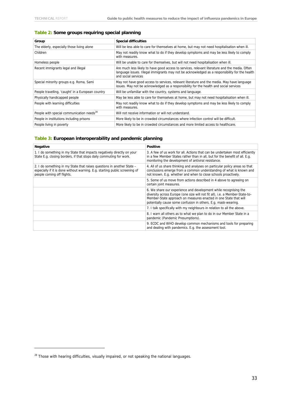### **Table 2: Some groups requiring special planning**

| Group                                                 | <b>Special difficulties</b>                                                                                                                                                                                             |
|-------------------------------------------------------|-------------------------------------------------------------------------------------------------------------------------------------------------------------------------------------------------------------------------|
| The elderly, especially those living alone            | Will be less able to care for themselves at home, but may not need hospitalisation when ill.                                                                                                                            |
| Children                                              | May not readily know what to do if they develop symptoms and may be less likely to comply<br>with measures.                                                                                                             |
| Homeless people                                       | Will be unable to care for themselves, but will not need hospitalisation when ill.                                                                                                                                      |
| Recent immigrants legal and illegal                   | Are much less likely to have good access to services, relevant literature and the media. Often<br>language issues. Illegal immigrants may not be acknowledged as a responsibility for the health<br>and social services |
| Special minority groups e.g. Roma, Sami               | May not have good access to services, relevant literature and the media. May have language<br>issues. May not be acknowledged as a responsibility for the health and social services                                    |
| People travelling, 'caught' in a European country     | Will be unfamiliar with the country, systems and language.                                                                                                                                                              |
| Physically handicapped people                         | May be less able to care for themselves at home, but may not need hospitalisation when ill.                                                                                                                             |
| People with learning difficulties                     | May not readily know what to do if they develop symptoms and may be less likely to comply<br>with measures.                                                                                                             |
| People with special communication needs <sup>28</sup> | Will not receive information or will not understand.                                                                                                                                                                    |
| People in institutions including prisons              | More likely to be in crowded circumstances where infection control will be difficult.                                                                                                                                   |
| People living in poverty                              | More likely to be in crowded circumstances and more limited access to healthcare.                                                                                                                                       |

#### **Table 3: European interoperability and pandemic planning**

| Negative                                                                                                                                                                            | <b>Positive</b>                                                                                                                                                                                                                                                                        |
|-------------------------------------------------------------------------------------------------------------------------------------------------------------------------------------|----------------------------------------------------------------------------------------------------------------------------------------------------------------------------------------------------------------------------------------------------------------------------------------|
| 1. I do something in my State that impacts negatively directly on your<br>State E.g. closing borders, if that stops daily commuting for work.                                       | 3. A few of us work for all. Actions that can be undertaken most efficiently<br>in a few Member States rather than in all, but for the benefit of all. E.g.<br>monitoring the development of antiviral resistance.                                                                     |
| 2. I do something in my State that raises questions in another State -<br>especially if it is done without warning. E.g. starting public screening of<br>people coming off flights. | 4. All of us share thinking and analyses on particular policy areas so that<br>conclusions emerge from a common understanding of what is known and<br>not known. E.g. whether and when to close schools proactively.                                                                   |
|                                                                                                                                                                                     | 5. Some of us move from actions described in 4 above to agreeing on<br>certain joint measures.                                                                                                                                                                                         |
|                                                                                                                                                                                     | 6. We share our experience and development while recognising the<br>diversity across Europe (one size will not fit all), i.e. a Member-State-to-<br>Member-State approach on measures enacted in one State that will<br>potentially cause some confusion in others. E.g. mask-wearing. |
|                                                                                                                                                                                     | 7. I talk specifically with my neighbours in relation to all the above.                                                                                                                                                                                                                |
|                                                                                                                                                                                     | 8. I warn all others as to what we plan to do in our Member State in a<br>pandemic (Pandemic Presumptions).                                                                                                                                                                            |
|                                                                                                                                                                                     | 9. ECDC and WHO develop common mechanisms and tools for preparing<br>and dealing with pandemics. E.g. the assessment tool.                                                                                                                                                             |

<span id="page-37-0"></span><sup>&</sup>lt;sup>28</sup> Those with hearing difficulties, visually impaired, or not speaking the national languages.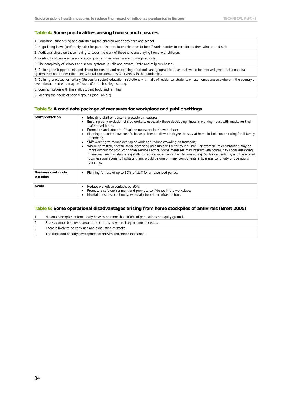#### **Table 4: Some practicalities arising from school closures**

1. Educating, supervising and entertaining the children out of day care and school.

2. Negotiating leave (preferably paid) for parents/carers to enable them to be off work in order to care for children who are not sick.

3. Additional stress on those having to cover the work of those who are staying home with children.

- 4. Continuity of pastoral care and social programmes administered through schools.
- 5. The complexity of schools and school systems (public and private, State and religious-based).

6. Defining the trigger points and timing for closure and re-opening of schools and geographic areas that would be involved given that a national system may not be desirable (see General considerations C, Diversity in the pandemic).

7. Defining practices for tertiary (University sector) education institutions with halls of residence, students whose homes are elsewhere in the country or even abroad, and who may be 'trapped' at their college setting.

8. Communication with the staff, student body and families.

9. Meeting the needs of special groups (see Table 2)

#### **Table 5: A candidate package of measures for workplace and public settings**

| <b>Staff protection</b>                | Educating staff on personal protective measures;<br>٠<br>Ensuring early exclusion of sick workers, especially those developing illness in working hours with masks for their<br>safe travel home:<br>Promotion and support of hygiene measures in the workplace;<br>٠<br>Planning no-cost or low-cost flu leave policies to allow employees to stay at home in isolation or caring for ill family<br>members:<br>Shift working to reduce overlap at work and reduce crowding on transport;<br>٠<br>Where permitted, specific social distancing measures will differ by industry. For example, telecommuting may be<br>٠<br>more difficult for production than service sectors. Some measures may interact with community social distancing<br>measures, such as staggering shifts to reduce social contact while commuting. Such interventions, and the altered<br>business operations to facilitate them, would be one of many components in business continuity of operations<br>planning. |
|----------------------------------------|----------------------------------------------------------------------------------------------------------------------------------------------------------------------------------------------------------------------------------------------------------------------------------------------------------------------------------------------------------------------------------------------------------------------------------------------------------------------------------------------------------------------------------------------------------------------------------------------------------------------------------------------------------------------------------------------------------------------------------------------------------------------------------------------------------------------------------------------------------------------------------------------------------------------------------------------------------------------------------------------|
| <b>Business continuity</b><br>planning | Planning for loss of up to 30% of staff for an extended period.                                                                                                                                                                                                                                                                                                                                                                                                                                                                                                                                                                                                                                                                                                                                                                                                                                                                                                                              |
| Goals                                  | Reduce workplace contacts by 50%;<br>٠<br>Promote a safe environment and promote confidence in the workplace;<br>Maintain business continuity, especially for critical infrastructure.                                                                                                                                                                                                                                                                                                                                                                                                                                                                                                                                                                                                                                                                                                                                                                                                       |

#### **Table 6: Some operational disadvantages arising from home stockpiles of antivirals (Brett 2005)**

| National stockpiles automatically have to be more than 100% of populations on equity grounds. |
|-----------------------------------------------------------------------------------------------|
| Stocks cannot be moved around the country to where they are most needed.                      |
| There is likely to be early use and exhaustion of stocks.                                     |
| The likelihood of early development of antiviral resistance increases.                        |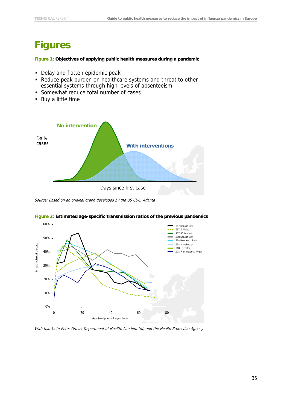# <span id="page-39-0"></span>**Figures**

**Figure 1: Objectives of applying public health measures during a pandemic** 

- Delay and flatten epidemic peak
- Reduce peak burden on healthcare systems and threat to other essential systems through high levels of absenteeism
- **Somewhat reduce total number of cases**
- Buy a little time



Source: Based on an original graph developed by the US CDC, Atlanta



#### **Figure 2: Estimated age-specific transmission ratios of the previous pandemics**

With thanks to Peter Grove, Department of Health, London, UK, and the Health Protection Agency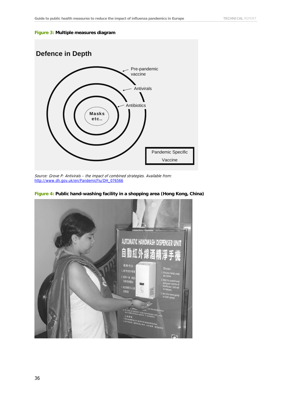#### **Figure 3: Multiple measures diagram**



Source: Grove P: Antivirals – the impact of combined strategies. Available from: [http://www.dh.gov.uk/en/PandemicFlu/DH\\_076566](http://www.dh.gov.uk/en/PandemicFlu/DH_076566)



**Figure 4: Public hand-washing facility in a shopping area (Hong Kong, China)**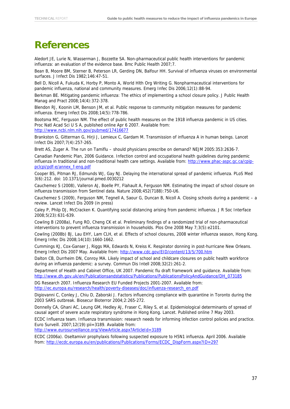# <span id="page-41-0"></span>**References**

Aledort JE, Lurie N, Wasserman J, Bozzette SA. Non-pharmaceutical public health interventions for pandemic influenza: an evaluation of the evidence base. Bmc Public Health 2007;7.

Bean B, Moore BM, Sterner B, Peterson LR, Gerding DN, Balfour HH. Survival of influenza viruses on environmental surfaces. J Infect Dis 1982;146:47-51.

Bell D, Nicoll A, Fukuda K, Horby P, Monto A, World Hlth Org Writing G. Nonpharmaceutical interventions for pandemic influenza, national and community measures. Emerg Infec Dis 2006;12(1):88-94.

Berkman BE. Mitigating pandemic influenza: The ethics of implementing a school closure policy. J Public Health Manag and Pract 2008;14(4):372-378.

Blendon RJ, Koonin LM, Benson JM, et al. Public response to community mitigation measures for pandemic influenza. Emerg Infect Dis 2008;14(5):778-786.

Bootsma MC, Ferguson NM. The effect of public health measures on the 1918 influenza pandemic in US cities. Proc Natl Acad Sci U S A, published online Apr 6 2007. Available from: <http://www.ncbi.nlm.nih.gov/pubmed/17416677>

Brankston G, Gitterman G, Hirji J, Lemieux C, Gardam M. Transmission of influenza A in human beings. Lancet Infect Dis 2007;7(4):257-265.

Brett AS, Zuger A. The run on Tamiflu – should physicians prescribe on demand? NEJM 2005:353:2636-7.

Canadian Pandemic Plan, 2006 Guidance. Infection control and occupational health guidelines during pandemic influenza in traditional and non-traditional health care settings. Available from: [http://www.phac-aspc.gc.ca/cpip](http://www.phac-aspc.gc.ca/cpip-pclcpi/pdf-e/annex_f-eng.pdf)[pclcpi/pdf-e/annex\\_f-eng.pdf](http://www.phac-aspc.gc.ca/cpip-pclcpi/pdf-e/annex_f-eng.pdf)

Cooper BS, Pitman RJ, Edmunds WJ, Gay NJ. Delaying the international spread of pandemic influenza. PLoS Med 3(6):212. doi: 10.1371/journal.pmed.0030212

Cauchemez S (2008), Valleron AJ, Boelle PY, Flahault A, Ferguson NM. Estimating the impact of school closure on influenza transmission from Sentinel data. Nature 2008;452(7188):750-U6.

Cauchemez S (2009), Ferguson NM, Tegnell A, Saour G, Duncan B, Nicoll A. Closing schools during a pandemic – a review. Lancet Infect Dis 2009 (in press)

Caley P, Philp DJ, McCracken K. Quantifying social distancing arising from pandemic influenza. J R Soc Interface 2008;5(23):631-639.

Cowling B (2008a), Fung RO, Cheng CK et al. Preliminary findings of a randomized trial of non-pharmaceutical interventions to prevent influenza transmission in households. Plos One 2008 May 7;3(5):e2101.

Cowling (2008b) BJ, Lau EHY, Lam CLH, et al. Effects of school closures, 2008 winter influenza season, Hong Kong. Emerg Infec Dis 2008;14(10):1660-1662.

Cummings KJ, Cox-Ganser J, Riggs MA, Edwards N, Kreiss K. Respirator donning in post-hurricane New Orleans. Emerg Infect Dis 2007 May. Available from:<http://www.cdc.gov/EID/content/13/5/700.htm>

Dalton CB, Durrheim DN, Conroy MA. Likely impact of school and childcare closures on public health workforce during an influenza pandemic: a survey. Commun Dis Intell 2008;32(2):261-2.

Department of Health and Cabinet Office, UK 2007. Pandemic flu draft framework and guidance. Available from: [http://www.dh.gov.uk/en/Publicationsandstatistics/Publications/PublicationsPolicyAndGuidance/DH\\_073185](http://www.dh.gov.uk/en/Publicationsandstatistics/Publications/PublicationsPolicyAndGuidance/DH_073185)

DG Research 2007. Influenza Research EU Funded Projects 2001-2007. Available from: [http://ec.europa.eu/research/health/poverty-diseases/doc/influenza-research\\_en.pdf](http://ec.europa.eu/research/health/poverty-diseases/doc/influenza-research_en.pdf)

Digiovanni C, Conley J, Chiu D, Zaborski J. Factors influencing compliance with quarantine in Toronto during the 2003 SARS outbreak. Biosecur Bioterror 2004;2:265-272.

Donnelly CA, Ghani AC, Leung GM, Hedley AJ, Fraser C, Riley S, et al. Epidemiological determinants of spread of causal agent of severe acute respiratory syndrome in Hong Kong. Lancet. Published online 7 May 2003.

ECDC Influenza team. Influenza transmission: research needs for informing infection control policies and practice. Euro Surveill. 2007;12(19):pii=3189. Available from:

<http://www.eurosurveillance.org/ViewArticle.aspx?ArticleId=3189>

ECDC (2006a). Oseltamivir prophylaxis following suspected exposure to H5N1 influenza. April 2006. Available from: [http://ecdc.europa.eu/en/publications/Publications/Forms/ECDC\\_DispForm.aspx?ID=297](http://ecdc.europa.eu/en/publications/Publications/Forms/ECDC_DispForm.aspx?ID=297)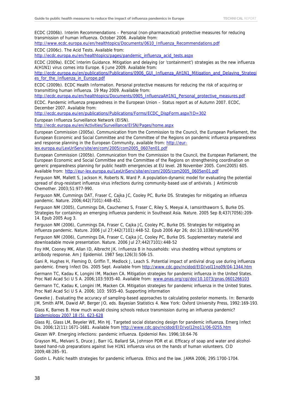ECDC (2006b). Interim Recommendations – Personal (non-pharmaceutical) protective measures for reducing transmission of human influenza. October 2006. Available from:

[http://www.ecdc.europa.eu/en/healthtopics/Documents/0610\\_Influenza\\_Recommendations.pdf](http://www.ecdc.europa.eu/en/healthtopics/Documents/0610_Influenza_Recommendations.pdf)

ECDC (2006c). The Acid Tests. Available from:

[http://ecdc.europa.eu/en/healthtopics/pages/pandemic\\_influenza\\_acid\\_tests.aspx](http://ecdc.europa.eu/en/healthtopics/pages/pandemic_influenza_acid_tests.aspx)

ECDC (2009a). ECDC Interim Guidance. Mitigation and delaying (or 'containment') strategies as the new influenza A(H1N1) virus comes into Europe. 6 June 2009. Available from:

[http://ecdc.europa.eu/en/publications/Publications/0906\\_GUI\\_Influenza\\_AH1N1\\_Mitigation\\_and\\_Delaying\\_Strategi](http://ecdc.europa.eu/en/publications/Publications/0906_GUI_Influenza_AH1N1_Mitigation_and_Delaying_Strategies_for_the_Influenza_in_Europe.pdf) es for the Influenza in Europe.pdf

ECDC (2009b). ECDC Health Information. Personal protective measures for reducing the risk of acquiring or transmitting human influenza. 19 May 2009. Available from:

[http://ecdc.europa.eu/en/healthtopics/Documents/0905\\_InfluenzaAH1N1\\_Personal\\_protective\\_measures.pdf](http://ecdc.europa.eu/en/healthtopics/Documents/0905_InfluenzaAH1N1_Personal_protective_measures.pdf)

ECDC. Pandemic influenza preparedness in the European Union – Status report as of Autumn 2007. ECDC, December 2007. Available from:

[http://ecdc.europa.eu/en/publications/Publications/Forms/ECDC\\_DispForm.aspx?ID=302](http://ecdc.europa.eu/en/publications/Publications/Forms/ECDC_DispForm.aspx?ID=302)

European Influenza Surveillance Network (EISN).

<http://ecdc.europa.eu/en/Activities/Surveillance/EISN/Pages/home.aspx>

European Commission (2005a). Communication from the Commission to the Council, the European Parliament, the European Economic and Social Committee and the Committee of the Regions on pandemic influenza preparedness and response planning in the European Community, available from: [http://eur](http://eur-lex.europa.eu/LexUriServ/site/en/com/2005/com2005_0607en01.pdf)[lex.europa.eu/LexUriServ/site/en/com/2005/com2005\\_0607en01.pdf](http://eur-lex.europa.eu/LexUriServ/site/en/com/2005/com2005_0607en01.pdf)

European Commission (2005b). Communication from the Commission to the Council, the European Parliament, the European Economic and Social Committee and the Committee of the Regions on strengthening coordination on generic preparedness planning for public health emergencies at EU level. 28 November 2005. Com(2005) 605. Available from: [http://eur-lex.europa.eu/LexUriServ/site/en/com/2005/com2005\\_0605en01.pdf](http://eur-lex.europa.eu/LexUriServ/site/en/com/2005/com2005_0605en01.pdf)

Ferguson NM, Mallett S, Jackson H, Roberts N, Ward P. A population-dynamic model for evaluating the potential spread of drug-resistant influenza virus infections during community-based use of antivirals. J Antimicrob Chemother. 2003;51:977-990.

Ferguson NM, Cummings DAT, Fraser C, Cajka JC, Cooley PC, Burke DS. Strategies for mitigating an influenza pandemic. Nature. 2006;442(7101):448-452.

Ferguson NM (2005), Cummings DA, Cauchemez S, Fraser C, Riley S, Meeyai A, Iamsirithaworn S, Burke DS. Strategies for containing an emerging influenza pandemic in Southeast Asia. Nature. 2005 Sep 8;437(7056):209- 14. Epub 2005 Aug 3.

Ferguson NM (2006), Cummings DA, Fraser C, Cajka JC, Cooley PC, Burke DS. Strategies for mitigating an influenza pandemic. Nature. 2006 Jul 27;442(7101):448-52. Epub 2006 Apr 26; doi:10.1038/nature04795 Ferguson NM (2006), Cummings DA, Fraser C, Cajka JC, Cooley PC, Burke DS. Supplementary material and downloadable movie presentation. Nature. 2006 Jul 27;442(7101):448-52

Foy HM, Cooney MK, Allan ID, Albrecht JK. Influenza B in households: virus shedding without symptoms or antibody response. Am J Epidemiol. 1987 Sep;126(3):506-15.

Gani R, Hughes H, Fleming D, Griffin T, Medlock J, Leach S. Potential impact of antiviral drug use during influenza pandemic. Emerg Infect Dis. 2005 Sept. Available from <http://www.cdc.gov/ncidod/EID/vol11no09/04-1344.htm>

Germann TC, Kadau K, Longini IM, Macken CA. Mitigation strategies for pandemic influenza in the United States. Proc Natl Acad Sci U S A. 2006;103:5935-40. Available from: [www.pnas.org/cgi/doi/10.1073/pnas.0601266103](http://www.pnas.org/cgi/doi/10.1073/pnas.0601266103)

Germann TC, Kadau K, Longini IM, Macken CA. Mitigation strategies for pandemic influenza in the United States. Proc Natl Acad Sci U S A. 2006; 103: 5935-40. Supporting information

Geweke J. Evaluating the accuracy of sampling-based approaches to calculating posterior moments. In: Bernardo JM, Smith AFM, Dawid AP, Berger JO, eds. Bayesian Statistics 4. New York: Oxford University Press, 1992:169-193. Glass K, Barnes B. How much would closing schools reduce transmission during an influenza pandemic? [Epidemiology 2007 18 \(5\), 623-628](http://www.ncbi.nlm.nih.gov/sites/entrez?Db=pubmed&Cmd=ShowDetailView&TermToSearch=17700251&ordinalpos=1&itool=EntrezSystem2.PEntrez.Pubmed.Pubmed_ResultsPanel.Pubmed_RVDocSum)

Glass RJ, Glass LM, Beyeler WE, Min HJ. Targeted social distancing design for pandemic influenza. Emerg Infect Dis. 2006;12(11):1671-1681. Available from <http://www.cdc.gov/ncidod/EID/vol12no11/06-0255.htm>

Glezen WP. Emerging infections: pandemic influenza. Epidemiol Rev. 1996;18:64-76

Grayson ML, Melvani S, Druce J, Barr IG, Ballard SA, Johnson PDR et al. Efficacy of soap and water and alcoholbased hand-rub preparations against live H1N1 influenza virus on the hands of human volunteers. CID 2009;48:285–91.

Gostin L. Public health strategies for pandemic influenza. Ethics and the law. JAMA 2006; 295:1700-1704.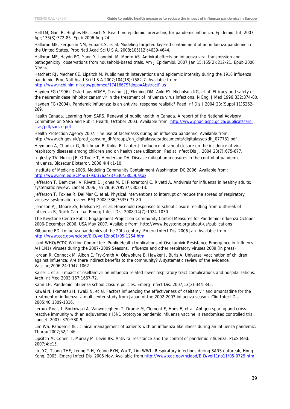Hall IM, Gani R, Hughes HE, Leach S. Real-time epidemic forecasting for pandemic influenza. Epidemiol Inf. 2007 Apr;135(3):372-85. Epub 2006 Aug 24

Halloran ME, Ferguson NM, Eubank S, et al. Modeling targeted layered containment of an influenza pandemic in the United States. Proc Natl Acad Sci U S A. 2008;105(12):4639-4644.

Halloran ME, Haydn FG, Yang Y, Longini IM, Monto AS. Antiviral effects on influenza viral transmission and pathogenicity: observations from household-based trials. Am J Epidemiol. 2007 Jan 15;165(2):212-21. Epub 2006 Nov 6.

Hatchett RJ, Mecher CE, Lipsitch M. Public health interventions and epidemic intensity during the 1918 influenza pandemic. Proc Natl Acad Sci U S A 2007;104(18):7582-7. Available from: <http://www.ncbi.nlm.nih.gov/pubmed/17416679?dopt=AbstractPlus>

Hayden FG (1996). Osterhaus ADME, Treanor JJ, Fleming DM, Aoki FY, Nicholson KG, et al. Efficacy and safety of the neuraminidase inhibitor zanamivir in the treatment of influenza virus infections. N Engl J Med 1996;332;874-80.

Hayden FG (2004). Pandemic influenza: is an antiviral response realistic? Paed Inf Dis J 2004;23:(Suppl 11)S262- 269.

Health Canada. Learning from SARS. Renewal of public health in Canada. A report of the National Advisory Committee on SARS and Public Health, October 2003. Available from: [http://www.phac-aspc.gc.ca/publicat/sars](http://www.phac-aspc.gc.ca/publicat/sars-sras/pdf/sars-e.pdf)[sras/pdf/sars-e.pdf](http://www.phac-aspc.gc.ca/publicat/sars-sras/pdf/sars-e.pdf).

Health Protection Agency 2007. The use of facemasks during an influenza pandemic. Available from: http://www.dh.gov.uk/prod\_consum\_dh/groups/dh\_digitalassets/documents/digitalasset/dh\_077781.pdf

Heymann A, Chodick G, Reichman B, Kokia E, Laufer J. Influence of school closure on the incidence of viral respiratory diseases among children and on health care utilization. Pediat Infect Dis J. 2004;23(7):675-677.

Inglesby TV, Nuzzo JB, O'Toole T, Henderson DA. Disease mitigation measures in the control of pandemic influenza. Biosecur Bioterror. 2006;4(4):1-10.

Institute of Medicine 2006. Modeling Community Containment Washington DC 2006. Available from: <http://www.iom.edu/CMS/3793/37624/37630/38059.aspx>

Jefferson T, Demicheli V, Rivetti D, Jones M, Di Pietrantonj C, Rivetti A. Antivirals for influenza in healthy adults: systematic review. Lancet 2006 Jan 28;367(9507):303-13.

Jefferson T, Foxlee R, Del Mar C, et al. Physical interventions to interrupt or reduce the spread of respiratory viruses: systematic review. BMJ 2008;336(7635):77-80.

Johnson AJ, Moore ZS, Edelson PJ, et al. Household responses to school closure resulting from outbreak of influenza B, North Carolina. Emerg Infect Dis. 2008;14(7):1024-1030.

The Keystone Centre Public Engagement Project on Community Control Measures for Pandemic Influenza October 2006-December 2006. USA May 2007. Available from: http://www.keystone.org/about-us/publications

Kilbourne ED. Influenza pandemics of the 20th century. Emerg Infect Dis. 2006 Jan. Available from <http://www.cdc.gov/ncidod/EID/vol12no01/05-1254.htm>

Joint WHO/ECDC Writing Committee. Public Health Implications of Oseltamivir Resistance Emergence in Influenza A(H1N1) Viruses during the 2007–2009 Seasons. Influenza and other respiratory viruses 2009 (in press)

Jordan R, Connock M, Albon E, Fry-Smith A, Olowokure B, Hawker J, Burls A. Universal vaccination of children against influenza: Are there indirect benefits to the community? A systematic review of the evidence. Vaccine;2006:24:1047-1062.

Kaiser L et al. Impact of oseltamivir on influenza-related lower respiratory tract complications and hospitalizations. Arch Int Med 2003;167:1667-72.

Kahn LH. Pandemic influenza school closure policies. Emerg Infect Dis. 2007;13(2):344-345.

Kawai N, Ikematsu H, Iwaki N, et al. Factors influencing the effectiveness of oseltamivir and amantadine for the treatment of influenza: a multicenter study from Japan of the 2002-2003 influenza season. Clin Infect Dis. 2005;40:1309-1316.

Leroux-Roels I, Borkowski A, Vanwolleghem T, Drame M, Clement F, Hons E, et al. Antigen sparing and crossreactive immunity with an adjuvanted rH5N1 prototype pandemic influenza vaccine: a randomised controlled trial. Lancet. 2007; 370:580-9.

Lim WS. Pandemic flu: clinical management of patients with an influenza-like illness during an influenza pandemic. Thorax 2007;62;1-46.

Lipsitch M, Cohen T, Murray M, Levin BR. Antiviral resistance and the control of pandemic influenza. PLoS Med. 2007;4:e15.

Lo JYC, Tsang THF, Leung Y-H, Yeung EYH, Wu T, Lim WWL. Respiratory infections during SARS outbreak, Hong Kong, 2003. Emerg Infect Dis. 2005 Nov. Available from <http://www.cdc.gov/ncidod/EID/vol11no11/05-0729.htm>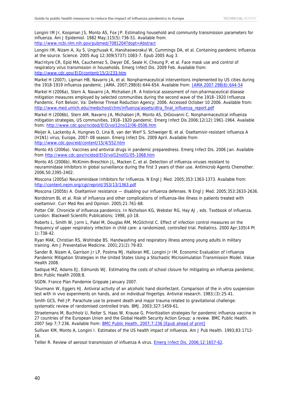Longini IM Jr, Koopman JS, Monto AS, Fox JP. Estimating household and community transmission parameters for influenza. Am J Epidemiol. 1982 May;115(5):736-51. Available from: <http://www.ncbi.nlm.nih.gov/pubmed/7081204?dopt=Abstract>

Longini IM, Nizam A, Xu S, Ungchusak K, Hanshaoworakul W, Cummings DA, et al. Containing pandemic influenza at the source. Science. 2005 Aug 12;309(5737):1083-7. Epub 2005 Aug 3.

MacIntyre CR, Epid MA, Cauchemez S, Dwyer DE, Seale H, Cheung P, et al. Face mask use and control of respiratory virus transmission in households. Emerg Infect Dis. 2009 Feb. Available from: <http://www.cdc.gov/EID/content/15/2/233.htm>

Markel H (2007), Lipman HB, Navarro JA, et al. Nonpharmaceutical interventions implemented by US cities during the 1918-1919 influenza pandemic. JAMA. 2007;298(6):644-654. Available from: [JAMA 2007 298\(6\):644-54](http://www.ncbi.nlm.nih.gov/sites/entrez?Db=pubmed&Cmd=ShowDetailView&TermToSearch=17684187&ordinalpos=3&itool=EntrezSystem2.PEntrez.Pubmed.Pubmed_ResultsPanel.Pubmed_RVDocSum)

Markel H (2006a), Stern A, Navarro JA, Michalsen JR. A historical assessment of non-pharmaceutical disease mitigation measures employed by selected communities during the second wave of the 1918–1920 Influenza Pandemic. Fort Belvoir, Va: Defense Threat Reduction Agency; 2006. Accessed October 10 2006. Available from: [http://www.med.umich.edu/medschool/chm/influenza/assets/dtra\\_final\\_influenza\\_report.pdf](http://www.med.umich.edu/medschool/chm/influenza/assets/dtra_final_influenza_report.pdf) 

Markel H (2006b), Stern AM, Navarro JA, Michalsen JR, Monto AS, DiGiovanni C. Nonpharmaceutical influenza mitigation strategies, US communities, 1918–1920 pandemic. Emerg Infect Dis 2006;12(12):1961-1964. Available from:<http://www.cdc.gov/ncidod/EID/vol12no12/06-0506.htm>

Meijer A, Lackenby A, Hungnes O, Lina B, van der Werf S, Schweiger B, et al. Oseltamivir-resistant influenza A (H1N1) virus, Europe, 2007–08 season. Emerg Infect Dis. 2009 April. Available from: <http://www.cdc.gov/eid/content/15/4/552.htm>

Monto AS (2006a). Vaccines and antiviral drugs in pandemic preparedness. Emerg Infect Dis. 2006 Jan. Available from<http://www.cdc.gov/ncidod/EID/vol12no01/05-1068.htm>

Monto AS (2006b), McKimm-Breschkin JL, Macken C, et al. Detection of influenza viruses resistant to neuraminidase inhibitors in global surveillance during the first 3 years of their use. Antimicrob Agents Chemother. 2006;50:2395-2402.

Moscona (2005a) Neuraminidase Inhibitors for Influenza. N Engl J Med. 2005;353:1363-1373. Available from: <http://content.nejm.org/cgi/reprint/353/13/1363.pdf>

Moscona (2005b) A. Oseltamivir resistance — disabling our influenza defenses. N Engl J Med. 2005;353:2633-2636.

Nordstrom BL et al. Risk of influenza and other complications of influenza-like illness in patients treated with oseltamivir. Curr Med Res and Opinion. 2005;21:761-68.

Potter CW. Chronicle of influenza pandemics. In Nicholson KG, Webster RG, Hay AJ , eds. Textbook of influenza. London: Blackwell Scientific Publications; 1998, p3-18.

Roberts L, Smith W, Jorm L, Patel M, Douglas RM, McGilchrist C. Effect of infection control measures on the frequency of upper respiratory infection in child care: a randomized, controlled trial. Pediatrics. 2000 Apr;105(4 Pt 1):738-42.

Ryan MAK, Christian RS, Wohlrabe BS. Handwashing and respiratory illness among young adults in military training. Am J Preventative Medicine. 2001;21(2):79-83.

Sander B, Nizam A, Garrison Jr LP, Postma MJ, Halloran ME, Longini Jr IM. Economic Evaluation of Influenza Pandemic Mitigation Strategies in the United States Using a Stochastic Microsimulation Transmission Model. Value Health 2008.

Sadique MZ, Adams EJ, Edmunds WJ. Estimating the costs of school closure for mitigating an influenza pandemic. Bmc Public Health 2008;8.

SGDN. France Plan Pandemie Grippale January 2007.

Shurmann W, Eggers HJ. Antiviral activity of an alcoholic hand disinfectant. Comparison of the in vitro suspension test with in vivo experiments on hands, and on individual fingertips. Antiviral research. 1983;(3):25-41.

Smith GCS, Pell JP. Parachute use to prevent death and major trauma related to gravitational challenge: systematic review of randomised controlled trials. BMJ. 2003;327:1459-61.

Straetemans M, Buchholz U, Reiter S, Haas W, Krause G. Prioritization strategies for pandemic influenza vaccine in 27 countries of the European Union and the Global Health Security Action Group: a review. BMC Public Health. 2007 Sep 7;7:236. Available from: **BMC Public Health.** 2007;7:236 [Epub ahead of print]

Sullivan KM, Monto A, Longini I. Estimates of the US health impact of influenza. Am J Pub Health. 1993;83:1712- 16.

Tellier R. Review of aerosol transmission of influenza A virus. [Emerg Infect Dis. 2006;12:1657-62.](http://www.ncbi.nlm.nih.gov/entrez/query.fcgi?db=pubmed&cmd=Retrieve&dopt=AbstractPlus&list_uids=17283614&query_hl=7&itool=pubmed_docsum)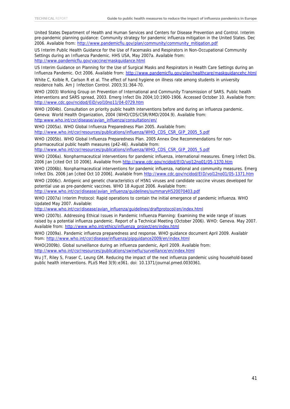United States Department of Health and Human Services and Centers for Disease Prevention and Control. Interim pre-pandemic planning guidance: Community strategy for pandemic influenza mitigation in the United States. Dec 2006. Available from: [http://www.pandemicflu.gov/plan/community/community\\_mitigation.pdf](http://www.pandemicflu.gov/plan/community/community_mitigation.pdf)

US Interim Public Health Guidance for the Use of Facemasks and Respirators in Non-Occupational Community Settings during an Influenza Pandemic. HHS USA, May 2007a. Available from: <http://www.pandemicflu.gov/vaccine/maskguidance.html>

US Interim Guidance on Planning for the Use of Surgical Masks and Respirators in Health Care Settings during an Influenza Pandemic. Oct 2006. Available from:<http://www.pandemicflu.gov/plan/healthcare/maskguidancehc.html>

White C, Kolble R, Carlson R et al. The effect of hand hygiene on illness rate among students in university residence halls. Am J Infection Control. 2003;31:364-70.

WHO (2003) Working Group on Prevention of International and Community Transmission of SARS. Public health interventions and SARS spread, 2003. Emerg Infect Dis 2004;10:1900-1906. Accessed October 10. Available from: <http://www.cdc.gov/ncidod/EiD/vol10no11/04-0729.htm>

WHO (2004b). Consultation on priority public health interventions before and during an influenza pandemic. Geneva: World Health Organization, 2004 (WHO/CDS/CSR/RMD/2004.9). Available from: [http:www.who.int/csr/disease/avian\\_influenza/consultation/en/](http://www.who.int/csr/disease/avian_influenza/consultation/en/) 

WHO (2005a). WHO Global Influenza Preparedness Plan 2005. Available from: [http://www.who.int/csr/resources/publications/influenza/WHO\\_CDS\\_CSR\\_GIP\\_2005\\_5.pdf](http://www.who.int/csr/resources/publications/influenza/WHO_CDS_CSR_GIP_2005_5.pdf)

WHO (2005b). WHO Global Influenza Preparedness Plan. 2005 Annex One Recommendations for nonpharmaceutical public health measures (p42-46). Available from: [http://www.who.int/csr/resources/publications/influenza/WHO\\_CDS\\_CSR\\_GIP\\_2005\\_5.pdf](http://www.who.int/csr/resources/publications/influenza/WHO_CDS_CSR_GIP_2005_5.pdf)

WHO (2006a). Nonpharmaceutical interventions for pandemic influenza, international measures. Emerg Infect Dis. 2006 Jan [cited Oct 10 2006]. Available from <http://www.cdc.gov/ncidod/EID/vol12no01/05-1370.htm>

WHO (2006b). Nonpharmaceutical interventions for pandemic influenza, national and community measures. Emerg Infect Dis. 2006 Jan [cited Oct 10 2006]. Available from <http://www.cdc.gov/ncidod/EID/vol12no01/05-1371.htm>

WHO (2006c). Antigenic and genetic characteristics of H5N1 viruses and candidate vaccine viruses developed for potential use as pre-pandemic vaccines. WHO 18 August 2006. Available from:

[http://www.who.int/csr/disease/avian\\_influenza/guidelines/summaryH520070403.pdf](http://www.who.int/csr/disease/avian_influenza/guidelines/summaryH520070403.pdf)

WHO (2007a) Interim Protocol: Rapid operations to contain the initial emergence of pandemic influenza. WHO Updated May 2007. Available:

[http://www.who.int/csr/disease/avian\\_influenza/guidelines/draftprotocol/en/index.html](http://www.who.int/csr/disease/avian_influenza/guidelines/draftprotocol/en/index.html)

WHO (2007b). Addressing Ethical Issues in Pandemic Influenza Planning: Examining the wide range of issues raised by a potential influenza pandemic. Report of a Technical Meeting (October 2006). WHO: Geneva. May 2007. Available from: [http://www.who.int/ethics/influenza\\_project/en/index.html](http://www.who.int/ethics/influenza_project/en/index.html)

WHO (2009a). Pandemic influenza preparedness and response. WHO guidance document April 2009. Availablr from:<http://www.who.int/csr/disease/influenza/pipguidance2009/en/index.html>

WHO(2009b). Global surveillance during an influenza pandemic, April 2009. Available from: <http://www.who.int/csr/resources/publications/swineflu/surveillance/en/index.html>

Wu JT, Riley S, Fraser C, Leung GM. Reducing the impact of the next influenza pandemic using household-based public health interventions. PLoS Med 3(9):e361. doi: 10.1371/journal.pmed.0030361.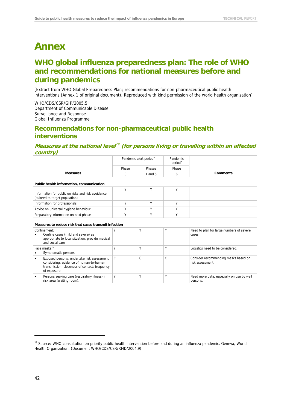# <span id="page-46-0"></span>**Annex**

# **WHO global influenza preparedness plan: The role of WHO and recommendations for national measures before and during pandemics**

[Extract from WHO Global Preparedness Plan; recommendations for non-pharmaceutical public health interventions (Annex 1 of original document). Reproduced with kind permission of the world health organization]

WHO/CDS/CSR/GIP/2005.5 Department of Communicable Disease Surveillance and Response Global Influenza Programme

### **Recommendations for non-pharmaceutical public health interventions**

### **Measures at the national level**<sup>29</sup> **[\(for](#page-46-1) [persons](#page-46-1) [living](#page-46-1) [or](#page-46-1) [travelling](#page-46-1) [within](#page-46-1) [an](#page-46-1) [affected](#page-46-1) [country\)](#page-46-1)**

|                                                                                                                                                                    |                                                       | Pandemic alert period <sup>a</sup> |              |                                                          |  |  |  |  |
|--------------------------------------------------------------------------------------------------------------------------------------------------------------------|-------------------------------------------------------|------------------------------------|--------------|----------------------------------------------------------|--|--|--|--|
|                                                                                                                                                                    | Phase                                                 | Phases                             | Phase        |                                                          |  |  |  |  |
| <b>Measures</b>                                                                                                                                                    | 3                                                     | 4 and 5                            | 6            | <b>Comments</b>                                          |  |  |  |  |
| Public health information, communication                                                                                                                           |                                                       |                                    |              |                                                          |  |  |  |  |
| Information for public on risks and risk avoidance<br>(tailored to target population)                                                                              | Y                                                     | Y                                  | Υ            |                                                          |  |  |  |  |
| Information for professionals                                                                                                                                      | Y                                                     | Υ                                  | Υ            |                                                          |  |  |  |  |
| Advice on universal hygiene behaviour                                                                                                                              | Y                                                     | Y                                  | Y            |                                                          |  |  |  |  |
| Preparatory information on next phase                                                                                                                              | Y                                                     | Y                                  | Y            |                                                          |  |  |  |  |
|                                                                                                                                                                    | Measures to reduce risk that cases transmit infection |                                    |              |                                                          |  |  |  |  |
| Confinement:<br>Confine cases (mild and severe) as<br>appropriate to local situation; provide medical<br>and social care                                           | Υ                                                     | Υ                                  | Υ            | Need to plan for large numbers of severe<br>cases        |  |  |  |  |
| Face masks:b<br>Symptomatic persons<br>٠                                                                                                                           | Υ                                                     | Υ                                  | Y            | Logistics need to be considered.                         |  |  |  |  |
| Exposed persons: undertake risk assessment<br>$\bullet$<br>considering: evidence of human-to-human<br>transmission; closeness of contact; frequency<br>of exposure | C                                                     | C                                  | $\mathsf{C}$ | Consider recommending masks based on<br>risk assessment. |  |  |  |  |
| Persons seeking care (respiratory illness) in<br>٠<br>risk area (waiting room),                                                                                    | Υ                                                     | Υ                                  | Υ            | Need more data, especially on use by well<br>persons.    |  |  |  |  |

<span id="page-46-1"></span><sup>&</sup>lt;sup>29</sup> Source: WHO consultation on priority public health intervention before and during an influenza pandemic. Geneva, World Health Organization. (Document WHO/CDS/CSR/RMD/2004.9)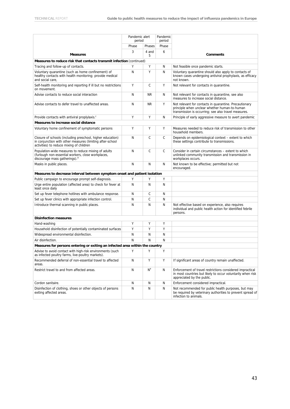|                                                                                                                                                                     | Pandemic alert<br>period |                | Pandemic<br>period |                                                                                                                                                                 |
|---------------------------------------------------------------------------------------------------------------------------------------------------------------------|--------------------------|----------------|--------------------|-----------------------------------------------------------------------------------------------------------------------------------------------------------------|
|                                                                                                                                                                     | Phase<br>Phases          |                | Phase              |                                                                                                                                                                 |
|                                                                                                                                                                     | 3                        | 4 and          | 6                  |                                                                                                                                                                 |
| <b>Measures</b>                                                                                                                                                     |                          | 5              |                    | <b>Comments</b>                                                                                                                                                 |
| Measures to reduce risk that contacts transmit infection (continued)                                                                                                |                          |                |                    |                                                                                                                                                                 |
| Tracing and follow-up of contacts.                                                                                                                                  | Υ                        | Υ              | N                  | Not feasible once pandemic starts.                                                                                                                              |
| Voluntary quarantine (such as home confinement) of<br>healthy contacts with health monitoring; provide medical<br>and social care,                                  | N                        | Y              | N                  | Voluntary quarantine should also apply to contacts of<br>known cases undergoing antiviral prophylaxis, as efficacy<br>not known.                                |
| Self-health monitoring and reporting if ill but no restrictions<br>on movement.                                                                                     | Y                        | $\mathsf{C}$   | Υ                  | Not relevant for contacts in quarantine.                                                                                                                        |
| Advise contacts to reduce social interaction                                                                                                                        | N                        | <b>NR</b>      | N                  | Not relevant for contacts in quarantine, see also<br>measures to increase social distance.                                                                      |
| Advise contacts to defer travel to unaffected areas.                                                                                                                | N                        | <b>NR</b>      | Υ                  | Not relevant for contacts in quarantine. Precautionary<br>principle when unclear whether human-to-human<br>transmission is occurring; see also travel measures. |
| Provide contacts with antiviral proplylaxis. <sup>c</sup>                                                                                                           | Y                        | Υ              | N                  | Principle of early aggressive measure to avert pandemic                                                                                                         |
| Measures to increase social distance                                                                                                                                |                          |                |                    |                                                                                                                                                                 |
| Voluntary home confinement of symptomatic persons                                                                                                                   | Y                        | Y              | Υ                  | Measures needed to reduce risk of transmission to other<br>household members.                                                                                   |
| Closure of schools (including preschool, higher education)<br>in conjunction with other measures (limiting after-school<br>activities) to reduce mixing of children | N                        | $\mathsf{C}$   | C                  | Depends on epidemiological context – extent to which<br>these settings contribute to transmissions.                                                             |
| Population-wide measures to reduce mixing of adults<br>(furlough non-essential workers, close workplaces,<br>discourage mass gatherings). <sup>d</sup>              | N                        | $\mathsf{C}$   | C                  | Consider in certain circumstances - extent to which<br>unlinked community transmission and transmission in<br>workplaces occurs.                                |
| Masks in public places.                                                                                                                                             | N                        | N              | N                  | Not known to be effective; permitted but not<br>encouraged.                                                                                                     |
| Measures to decrease interval between symptom onset and patient isolation                                                                                           |                          |                |                    |                                                                                                                                                                 |
| Public campaign to encourage prompt self-diagnosis.                                                                                                                 | Υ                        | Υ              | Υ                  |                                                                                                                                                                 |
| Urge entire population (affected area) to check for fever at<br>least once daily                                                                                    | N                        | N              | N                  |                                                                                                                                                                 |
| Set up fever telephone hotlines with ambulance response.                                                                                                            | N                        | C              | N                  |                                                                                                                                                                 |
| Set up fever clinics with appropriate infection control.                                                                                                            | N                        | C              | N                  |                                                                                                                                                                 |
| Introduce thermal scanning in public places.                                                                                                                        | N                        | N              | N                  | Not effective based on experience, also requires<br>individual and public health action for identified febrile<br>persons.                                      |
| <b>Disinfection measures</b>                                                                                                                                        |                          |                |                    |                                                                                                                                                                 |
| Hand-washing                                                                                                                                                        | Y                        | Υ              | Υ                  |                                                                                                                                                                 |
| Household disinfection of potentially contaminated surfaces                                                                                                         | Υ                        | Y              | Υ                  |                                                                                                                                                                 |
| Widespread environmental disinfection.                                                                                                                              | Ν                        | N              | N                  |                                                                                                                                                                 |
| Air disinfection.                                                                                                                                                   | N                        | N              | N                  |                                                                                                                                                                 |
| Measures for persons entering or exiting an infected area within the country                                                                                        |                          |                |                    |                                                                                                                                                                 |
| Advise to avoid contact with high-risk environments (such<br>as infected poultry farms, live-poultry markets).                                                      | Υ                        | Υ              | Υ                  |                                                                                                                                                                 |
| Recommended deferral of non-essential travel to affected<br>areas.                                                                                                  | Ν                        | Υ              | Υ                  | If significant areas of country remain unaffected.                                                                                                              |
| Restrict travel to and from affected areas.                                                                                                                         | Ν                        | N <sup>e</sup> | N                  | Enforcement of travel restrictions considered impractical<br>in most countries but likely to occur voluntarily when risk<br>appreciated by the public.          |
| Cordon sanitaire.                                                                                                                                                   | Ν                        | N              | N                  | Enforcement considered impractical.                                                                                                                             |
| Disinfection of clothing, shoes or other objects of persons<br>exiting affected areas.                                                                              | Ν                        | N              | N                  | Not recommended for public health purposes, but may<br>be required by veterinary authorities to prevent spread of<br>infection to animals.                      |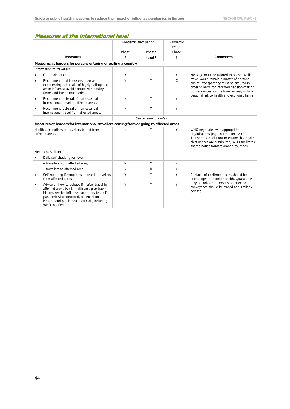### **Measures at the international level**

|           |                                                                                                                                                                                                                                                                      | Pandemic alert period |                      | Pandemic<br>period |                                                                                                                                                                                                                                 |  |
|-----------|----------------------------------------------------------------------------------------------------------------------------------------------------------------------------------------------------------------------------------------------------------------------|-----------------------|----------------------|--------------------|---------------------------------------------------------------------------------------------------------------------------------------------------------------------------------------------------------------------------------|--|
|           |                                                                                                                                                                                                                                                                      | Phase                 | Phases               | Phase              |                                                                                                                                                                                                                                 |  |
|           | <b>Measures</b>                                                                                                                                                                                                                                                      | 3                     | $4$ and $5$          | 6                  | <b>Comments</b>                                                                                                                                                                                                                 |  |
|           | Measures at borders for persons entering or exiting a country                                                                                                                                                                                                        |                       |                      |                    |                                                                                                                                                                                                                                 |  |
|           | Information to travellers                                                                                                                                                                                                                                            |                       |                      |                    |                                                                                                                                                                                                                                 |  |
| $\bullet$ | Outbreak notice.                                                                                                                                                                                                                                                     | Υ                     | Υ                    | Υ                  | Message must be tailored to phase. While                                                                                                                                                                                        |  |
| $\bullet$ | Recommend that travellers to areas<br>experiencing outbreaks of highly pathogenic<br>avian influenza avoid contact with poultry<br>farms and live animal markets                                                                                                     | Υ                     | Υ                    | $\mathsf{C}$       | travel would remain a matter of personal<br>choice, transparency must be ensured in<br>order to allow for informed decision-making.<br>Consequences for the traveller may include<br>personal risk to health and economic harm. |  |
| $\bullet$ | Recommend deferral of non-essential<br>international travel to affected areas.                                                                                                                                                                                       | N                     | Y                    | Υ                  |                                                                                                                                                                                                                                 |  |
| $\bullet$ | Recommend deferral of non-essential<br>international travel from affected areas.                                                                                                                                                                                     | N                     | Y                    | Y                  |                                                                                                                                                                                                                                 |  |
|           |                                                                                                                                                                                                                                                                      |                       | See Screening Tables |                    |                                                                                                                                                                                                                                 |  |
|           | Measures at borders for international travellers coming from or going to affected areas                                                                                                                                                                              |                       |                      |                    |                                                                                                                                                                                                                                 |  |
|           | Health alert notices to travellers to and from<br>affected areas.                                                                                                                                                                                                    | N                     | Υ                    | Υ                  | WHO negotiates with appropriate<br>organizations (e.g. International Air<br>Transport Association) to ensure that health<br>alert notices are distributed: WHO facilitates<br>shared notice formats among countries.            |  |
|           | Medical surveillance                                                                                                                                                                                                                                                 |                       |                      |                    |                                                                                                                                                                                                                                 |  |
| $\bullet$ | Daily self-checking for fever:                                                                                                                                                                                                                                       |                       |                      |                    |                                                                                                                                                                                                                                 |  |
|           | - travellers from affected area:                                                                                                                                                                                                                                     | N                     | Υ                    | Υ                  |                                                                                                                                                                                                                                 |  |
|           | - travellers to affected area.                                                                                                                                                                                                                                       | N                     | N                    | Y                  |                                                                                                                                                                                                                                 |  |
| $\bullet$ | Self-reporting if symptoms appear in travellers<br>from affected areas.                                                                                                                                                                                              | Υ                     | Υ                    | Υ                  | Contacts of confirmed cases should be<br>encouraged to monitor health. Quarantine<br>may be indicated. Persons on affected<br>conveyance should be traced and similarly<br>advised.                                             |  |
| $\bullet$ | Advice on how to behave if ill after travel in<br>affected areas (seek healthcare, give travel<br>history, receive influenza laboratory test); if<br>pandemic virus detected, patient should be<br>isolated and public health officials, including<br>WHO, notified. | Y                     | Y                    | Υ                  |                                                                                                                                                                                                                                 |  |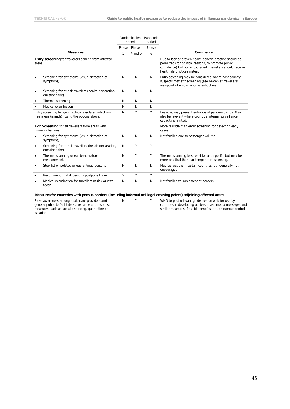|           |                                                                                                                     | Pandemic alert<br>period |         | Pandemic<br>period |                                                                                                                                                                                                               |
|-----------|---------------------------------------------------------------------------------------------------------------------|--------------------------|---------|--------------------|---------------------------------------------------------------------------------------------------------------------------------------------------------------------------------------------------------------|
|           |                                                                                                                     | Phase                    | Phases  | Phase              |                                                                                                                                                                                                               |
|           | <b>Measures</b>                                                                                                     | 3                        | 4 and 5 | 6                  | <b>Comments</b>                                                                                                                                                                                               |
| areas.    | Entry screening for travellers coming from affected                                                                 |                          |         |                    | Due to lack of proven health benefit, practice should be<br>permitted (for political reasons, to promote public<br>confidence) but not encouraged. Travellers should receive<br>health alert notices instead. |
| $\bullet$ | Screening for symptoms (visual detection of<br>symptoms).                                                           | N                        | N       | N                  | Entry screening may be considered where host country<br>suspects that exit screening (see below) at traveller's<br>viewpoint of embarkation is suboptimal.                                                    |
| $\bullet$ | Screening for at-risk travelers (health declaration,<br>questionnaire).                                             | N                        | N       | N                  |                                                                                                                                                                                                               |
| $\bullet$ | Thermal screening.                                                                                                  | N                        | N       | N                  |                                                                                                                                                                                                               |
|           | Medical examination                                                                                                 | N                        | N       | N                  |                                                                                                                                                                                                               |
|           | Entry screening for geographically isolated infection-<br>free areas (islands), using the options above.            | N                        | Υ       | Υ                  | Feasible, may prevent entrance of pandemic virus. May<br>also be relevant where country's internal surveillance<br>capacity is limited.                                                                       |
|           | Exit Screening for all travellers from areas with<br>human infections                                               |                          |         |                    | More feasible than entry screening for detecting early<br>cases.                                                                                                                                              |
| $\bullet$ | Screening for symptoms (visual detection of<br>symptoms).                                                           | N                        | N       | N                  | Not feasible due to passenger volume.                                                                                                                                                                         |
| $\bullet$ | Screening for at-risk travellers (health declaration,<br>questionnaire).                                            | N                        | Υ       | Y                  |                                                                                                                                                                                                               |
| ٠         | Thermal scanning or ear-temperature<br>measurement.                                                                 | N                        | Y       | Y                  | Thermal scanning less sensitive and specific but may be<br>more practical than ear-temperature scanning.                                                                                                      |
| $\bullet$ | Stop-list of isolated or quarantined persons                                                                        | N                        | N       | N                  | May be feasible in certain countries, but generally not<br>encouraged.                                                                                                                                        |
| $\bullet$ | Recommend that ill persons postpone travel                                                                          | Υ                        | Υ       | Y                  |                                                                                                                                                                                                               |
| $\bullet$ | Medical examination for travellers at risk or with<br>fever                                                         | N                        | N       | N                  | Not feasible to implement at borders.                                                                                                                                                                         |
|           | Measures for countries with porous borders (including informal or illegal crossing points) adjoining affected areas |                          |         |                    |                                                                                                                                                                                                               |
|           | Raise awareness among healthcare providers and<br>general public to facilitate surveillance and response            | N                        | Υ       | Υ                  | WHO to post relevant quidelines on web for use by<br>countries in developing posters, mass-media messages and                                                                                                 |

| Raise awareness among healthcare providers and         | N |  | WHO to post relevant quidelines on web for use by           |
|--------------------------------------------------------|---|--|-------------------------------------------------------------|
| general public to facilitate surveillance and response |   |  | countries in developing posters, mass-media messages and    |
| measures, such as social distancing, quarantine or     |   |  | similar measures. Possible benefits include rumour control. |
| isolation.                                             |   |  |                                                             |